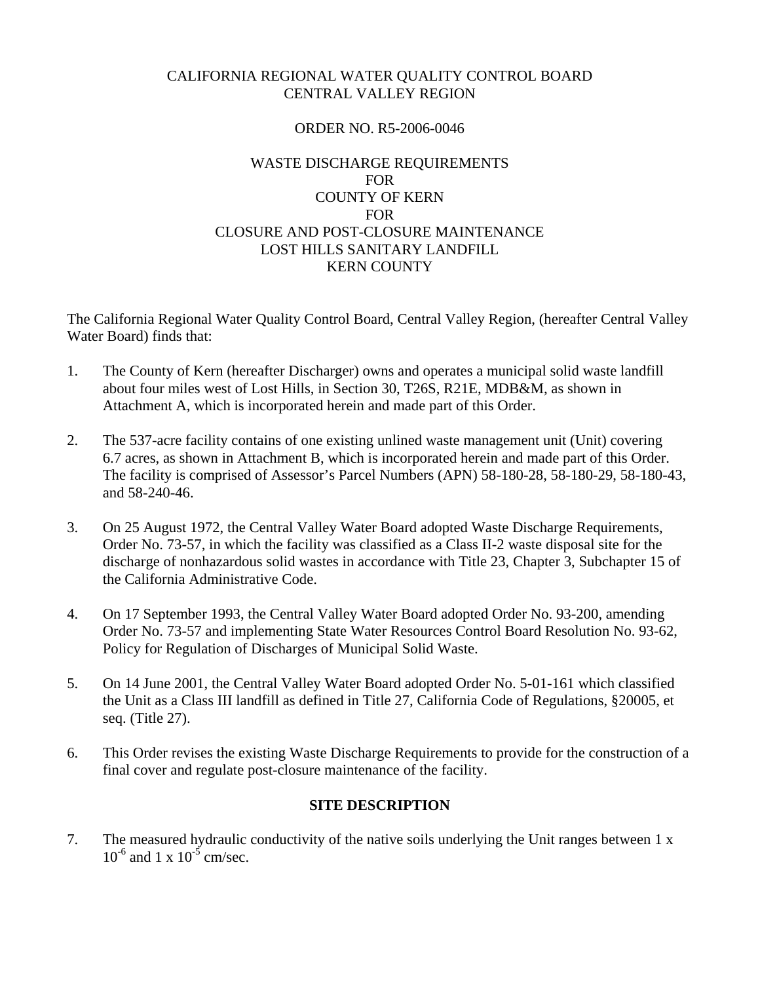# CALIFORNIA REGIONAL WATER QUALITY CONTROL BOARD CENTRAL VALLEY REGION

## ORDER NO. R5-2006-0046

## WASTE DISCHARGE REQUIREMENTS FOR COUNTY OF KERN **FOR** CLOSURE AND POST-CLOSURE MAINTENANCE LOST HILLS SANITARY LANDFILL KERN COUNTY

The California Regional Water Quality Control Board, Central Valley Region, (hereafter Central Valley Water Board) finds that:

- 1. The County of Kern (hereafter Discharger) owns and operates a municipal solid waste landfill about four miles west of Lost Hills, in Section 30, T26S, R21E, MDB&M, as shown in Attachment A, which is incorporated herein and made part of this Order.
- 2. The 537-acre facility contains of one existing unlined waste management unit (Unit) covering 6.7 acres, as shown in Attachment B, which is incorporated herein and made part of this Order. The facility is comprised of Assessor's Parcel Numbers (APN) 58-180-28, 58-180-29, 58-180-43, and 58-240-46.
- 3. On 25 August 1972, the Central Valley Water Board adopted Waste Discharge Requirements, Order No. 73-57, in which the facility was classified as a Class II-2 waste disposal site for the discharge of nonhazardous solid wastes in accordance with Title 23, Chapter 3, Subchapter 15 of the California Administrative Code.
- 4. On 17 September 1993, the Central Valley Water Board adopted Order No. 93-200, amending Order No. 73-57 and implementing State Water Resources Control Board Resolution No. 93-62, Policy for Regulation of Discharges of Municipal Solid Waste.
- 5. On 14 June 2001, the Central Valley Water Board adopted Order No. 5-01-161 which classified the Unit as a Class III landfill as defined in Title 27, California Code of Regulations, §20005, et seq. (Title 27).
- 6. This Order revises the existing Waste Discharge Requirements to provide for the construction of a final cover and regulate post-closure maintenance of the facility.

# **SITE DESCRIPTION**

7. The measured hydraulic conductivity of the native soils underlying the Unit ranges between 1 x  $10^{-6}$  and 1 x  $10^{-5}$  cm/sec.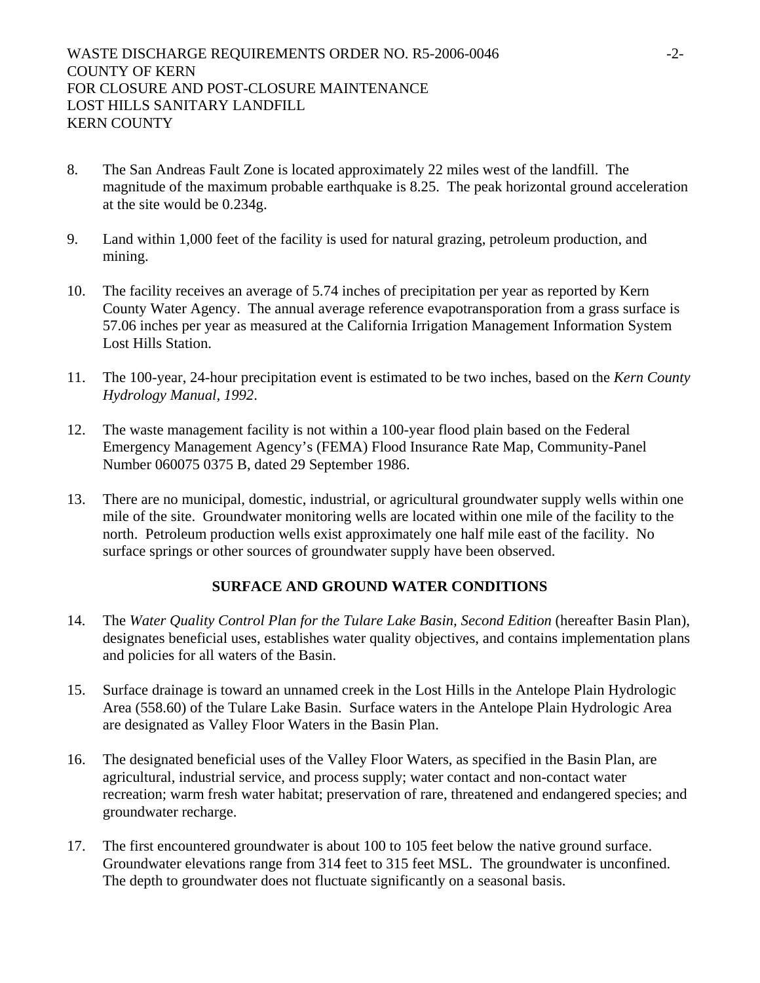- 8. The San Andreas Fault Zone is located approximately 22 miles west of the landfill. The magnitude of the maximum probable earthquake is 8.25. The peak horizontal ground acceleration at the site would be 0.234g.
- 9. Land within 1,000 feet of the facility is used for natural grazing, petroleum production, and mining.
- 10. The facility receives an average of 5.74 inches of precipitation per year as reported by Kern County Water Agency. The annual average reference evapotransporation from a grass surface is 57.06 inches per year as measured at the California Irrigation Management Information System Lost Hills Station.
- 11. The 100-year, 24-hour precipitation event is estimated to be two inches, based on the *Kern County Hydrology Manual, 1992*.
- 12. The waste management facility is not within a 100-year flood plain based on the Federal Emergency Management Agency's (FEMA) Flood Insurance Rate Map, Community-Panel Number 060075 0375 B, dated 29 September 1986.
- 13. There are no municipal, domestic, industrial, or agricultural groundwater supply wells within one mile of the site. Groundwater monitoring wells are located within one mile of the facility to the north. Petroleum production wells exist approximately one half mile east of the facility. No surface springs or other sources of groundwater supply have been observed.

# **SURFACE AND GROUND WATER CONDITIONS**

- 14. The *Water Quality Control Plan for the Tulare Lake Basin, Second Edition* (hereafter Basin Plan), designates beneficial uses, establishes water quality objectives, and contains implementation plans and policies for all waters of the Basin.
- 15. Surface drainage is toward an unnamed creek in the Lost Hills in the Antelope Plain Hydrologic Area (558.60) of the Tulare Lake Basin. Surface waters in the Antelope Plain Hydrologic Area are designated as Valley Floor Waters in the Basin Plan.
- 16. The designated beneficial uses of the Valley Floor Waters, as specified in the Basin Plan, are agricultural, industrial service, and process supply; water contact and non-contact water recreation; warm fresh water habitat; preservation of rare, threatened and endangered species; and groundwater recharge.
- 17. The first encountered groundwater is about 100 to 105 feet below the native ground surface. Groundwater elevations range from 314 feet to 315 feet MSL. The groundwater is unconfined. The depth to groundwater does not fluctuate significantly on a seasonal basis.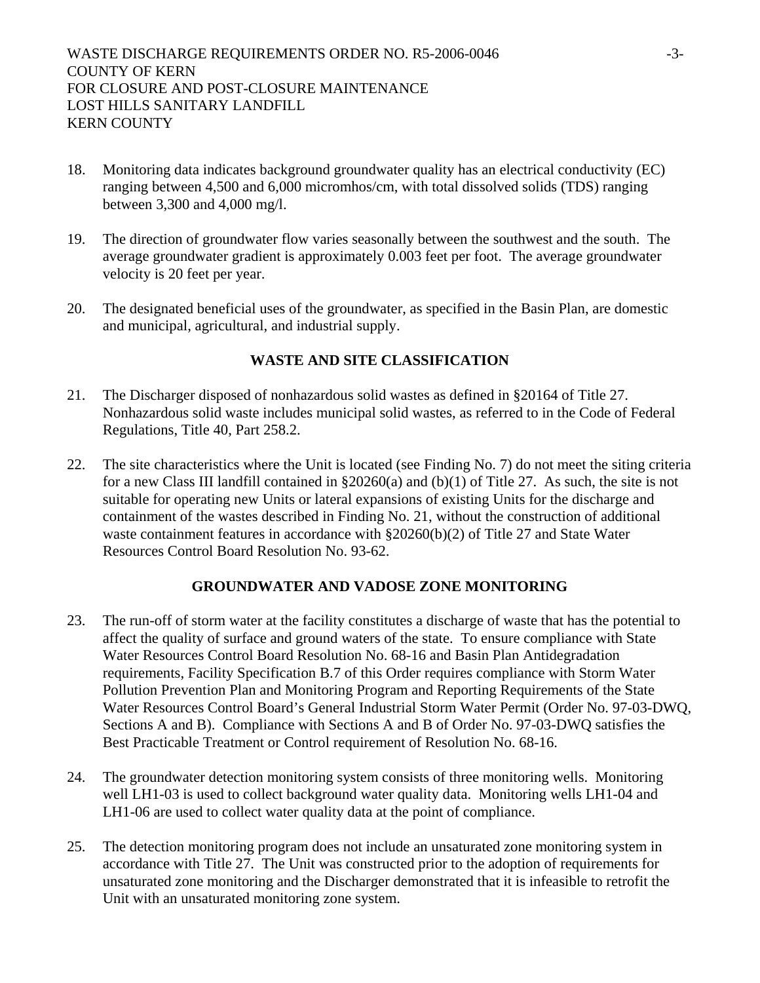- 18. Monitoring data indicates background groundwater quality has an electrical conductivity (EC) ranging between 4,500 and 6,000 micromhos/cm, with total dissolved solids (TDS) ranging between 3,300 and 4,000 mg/l.
- 19. The direction of groundwater flow varies seasonally between the southwest and the south. The average groundwater gradient is approximately 0.003 feet per foot. The average groundwater velocity is 20 feet per year.
- 20. The designated beneficial uses of the groundwater, as specified in the Basin Plan, are domestic and municipal, agricultural, and industrial supply.

# **WASTE AND SITE CLASSIFICATION**

- 21. The Discharger disposed of nonhazardous solid wastes as defined in §20164 of Title 27. Nonhazardous solid waste includes municipal solid wastes, as referred to in the Code of Federal Regulations, Title 40, Part 258.2.
- 22. The site characteristics where the Unit is located (see Finding No. 7) do not meet the siting criteria for a new Class III landfill contained in §20260(a) and (b)(1) of Title 27. As such, the site is not suitable for operating new Units or lateral expansions of existing Units for the discharge and containment of the wastes described in Finding No. 21, without the construction of additional waste containment features in accordance with §20260(b)(2) of Title 27 and State Water Resources Control Board Resolution No. 93-62.

# **GROUNDWATER AND VADOSE ZONE MONITORING**

- 23. The run-off of storm water at the facility constitutes a discharge of waste that has the potential to affect the quality of surface and ground waters of the state. To ensure compliance with State Water Resources Control Board Resolution No. 68-16 and Basin Plan Antidegradation requirements, Facility Specification B.7 of this Order requires compliance with Storm Water Pollution Prevention Plan and Monitoring Program and Reporting Requirements of the State Water Resources Control Board's General Industrial Storm Water Permit (Order No. 97-03-DWQ, Sections A and B). Compliance with Sections A and B of Order No. 97-03-DWQ satisfies the Best Practicable Treatment or Control requirement of Resolution No. 68-16.
- 24. The groundwater detection monitoring system consists of three monitoring wells. Monitoring well LH1-03 is used to collect background water quality data. Monitoring wells LH1-04 and LH1-06 are used to collect water quality data at the point of compliance.
- 25. The detection monitoring program does not include an unsaturated zone monitoring system in accordance with Title 27. The Unit was constructed prior to the adoption of requirements for unsaturated zone monitoring and the Discharger demonstrated that it is infeasible to retrofit the Unit with an unsaturated monitoring zone system.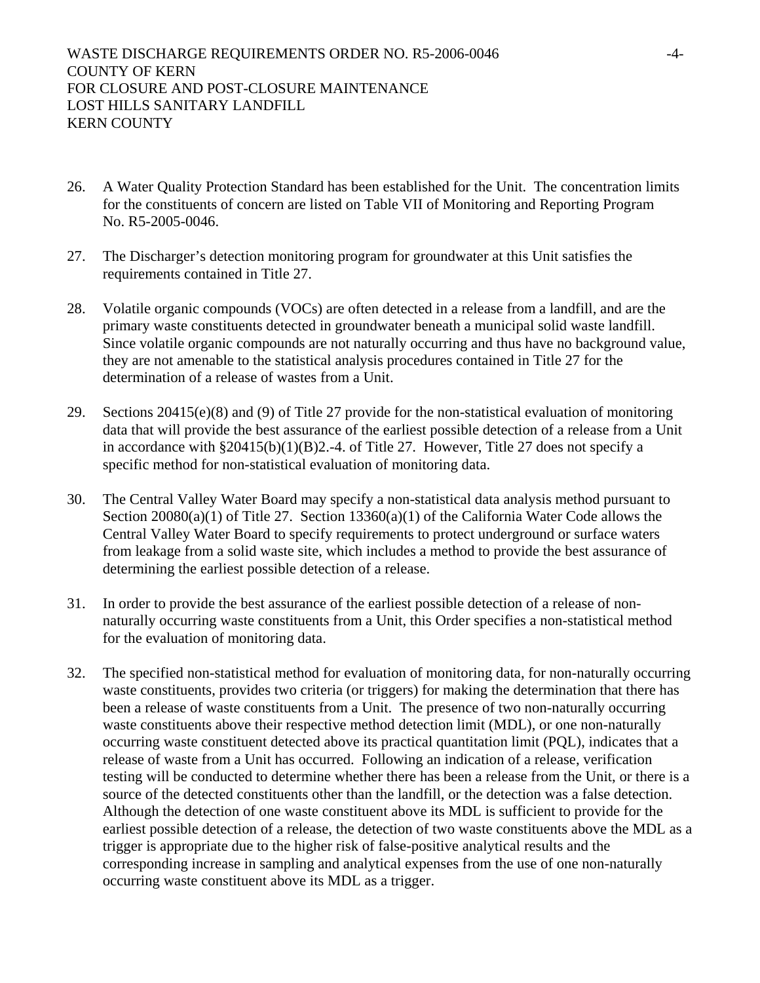- 26. A Water Quality Protection Standard has been established for the Unit. The concentration limits for the constituents of concern are listed on Table VII of Monitoring and Reporting Program No. R5-2005-0046.
- 27. The Discharger's detection monitoring program for groundwater at this Unit satisfies the requirements contained in Title 27.
- 28. Volatile organic compounds (VOCs) are often detected in a release from a landfill, and are the primary waste constituents detected in groundwater beneath a municipal solid waste landfill. Since volatile organic compounds are not naturally occurring and thus have no background value, they are not amenable to the statistical analysis procedures contained in Title 27 for the determination of a release of wastes from a Unit.
- 29. Sections 20415(e)(8) and (9) of Title 27 provide for the non-statistical evaluation of monitoring data that will provide the best assurance of the earliest possible detection of a release from a Unit in accordance with §20415(b)(1)(B)2.-4. of Title 27. However, Title 27 does not specify a specific method for non-statistical evaluation of monitoring data.
- 30. The Central Valley Water Board may specify a non-statistical data analysis method pursuant to Section 20080(a)(1) of Title 27. Section 13360(a)(1) of the California Water Code allows the Central Valley Water Board to specify requirements to protect underground or surface waters from leakage from a solid waste site, which includes a method to provide the best assurance of determining the earliest possible detection of a release.
- 31. In order to provide the best assurance of the earliest possible detection of a release of nonnaturally occurring waste constituents from a Unit, this Order specifies a non-statistical method for the evaluation of monitoring data.
- 32. The specified non-statistical method for evaluation of monitoring data, for non-naturally occurring waste constituents, provides two criteria (or triggers) for making the determination that there has been a release of waste constituents from a Unit. The presence of two non-naturally occurring waste constituents above their respective method detection limit (MDL), or one non-naturally occurring waste constituent detected above its practical quantitation limit (PQL), indicates that a release of waste from a Unit has occurred. Following an indication of a release, verification testing will be conducted to determine whether there has been a release from the Unit, or there is a source of the detected constituents other than the landfill, or the detection was a false detection. Although the detection of one waste constituent above its MDL is sufficient to provide for the earliest possible detection of a release, the detection of two waste constituents above the MDL as a trigger is appropriate due to the higher risk of false-positive analytical results and the corresponding increase in sampling and analytical expenses from the use of one non-naturally occurring waste constituent above its MDL as a trigger.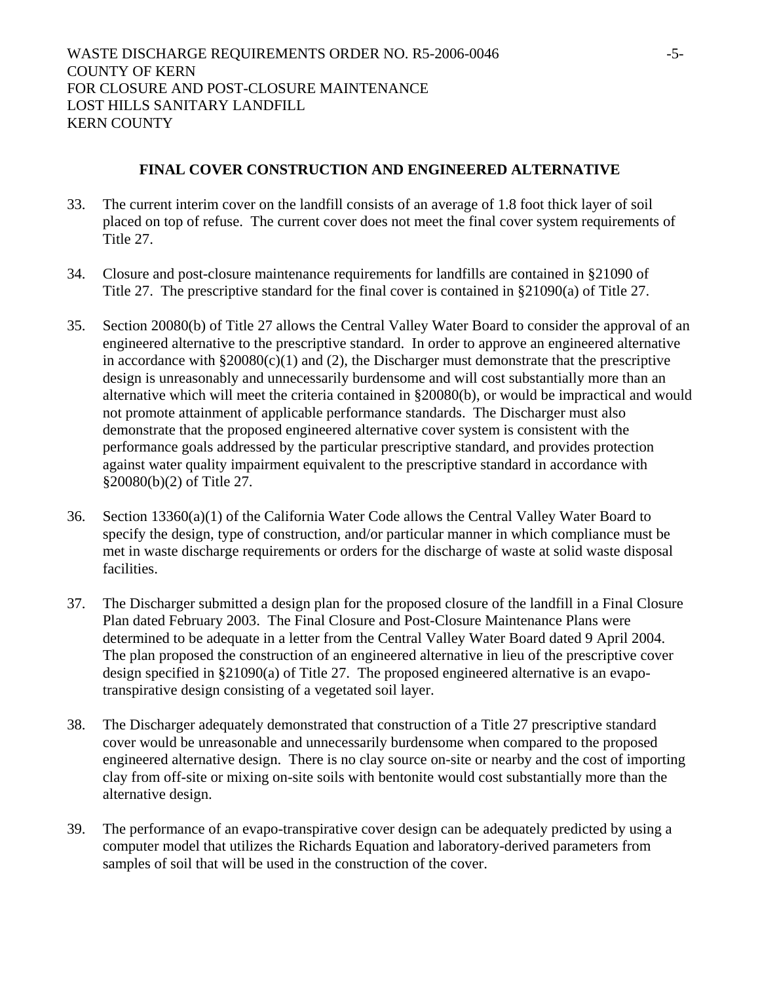# **FINAL COVER CONSTRUCTION AND ENGINEERED ALTERNATIVE**

- 33. The current interim cover on the landfill consists of an average of 1.8 foot thick layer of soil placed on top of refuse. The current cover does not meet the final cover system requirements of Title 27.
- 34. Closure and post-closure maintenance requirements for landfills are contained in §21090 of Title 27. The prescriptive standard for the final cover is contained in §21090(a) of Title 27.
- 35. Section 20080(b) of Title 27 allows the Central Valley Water Board to consider the approval of an engineered alternative to the prescriptive standard. In order to approve an engineered alternative in accordance with  $\S 20080(c)(1)$  and (2), the Discharger must demonstrate that the prescriptive design is unreasonably and unnecessarily burdensome and will cost substantially more than an alternative which will meet the criteria contained in §20080(b), or would be impractical and would not promote attainment of applicable performance standards. The Discharger must also demonstrate that the proposed engineered alternative cover system is consistent with the performance goals addressed by the particular prescriptive standard, and provides protection against water quality impairment equivalent to the prescriptive standard in accordance with §20080(b)(2) of Title 27.
- 36. Section 13360(a)(1) of the California Water Code allows the Central Valley Water Board to specify the design, type of construction, and/or particular manner in which compliance must be met in waste discharge requirements or orders for the discharge of waste at solid waste disposal facilities.
- 37. The Discharger submitted a design plan for the proposed closure of the landfill in a Final Closure Plan dated February 2003. The Final Closure and Post-Closure Maintenance Plans were determined to be adequate in a letter from the Central Valley Water Board dated 9 April 2004. The plan proposed the construction of an engineered alternative in lieu of the prescriptive cover design specified in §21090(a) of Title 27. The proposed engineered alternative is an evapotranspirative design consisting of a vegetated soil layer.
- 38. The Discharger adequately demonstrated that construction of a Title 27 prescriptive standard cover would be unreasonable and unnecessarily burdensome when compared to the proposed engineered alternative design. There is no clay source on-site or nearby and the cost of importing clay from off-site or mixing on-site soils with bentonite would cost substantially more than the alternative design.
- 39. The performance of an evapo-transpirative cover design can be adequately predicted by using a computer model that utilizes the Richards Equation and laboratory-derived parameters from samples of soil that will be used in the construction of the cover.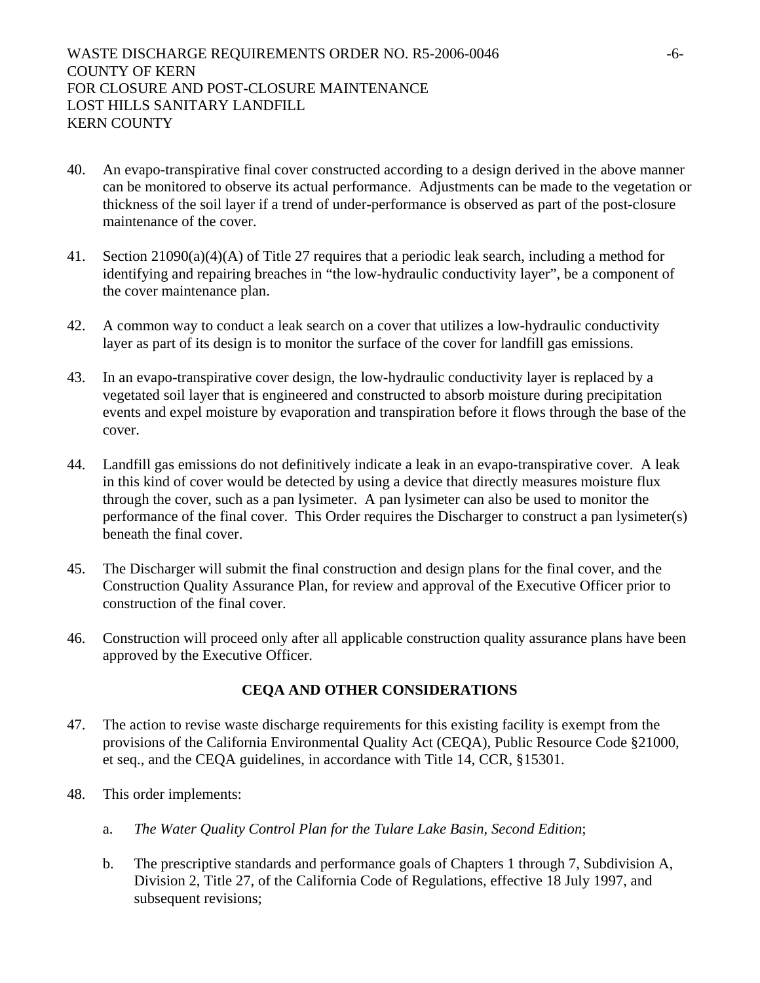- 40. An evapo-transpirative final cover constructed according to a design derived in the above manner can be monitored to observe its actual performance. Adjustments can be made to the vegetation or thickness of the soil layer if a trend of under-performance is observed as part of the post-closure maintenance of the cover.
- 41. Section 21090(a)(4)(A) of Title 27 requires that a periodic leak search, including a method for identifying and repairing breaches in "the low-hydraulic conductivity layer", be a component of the cover maintenance plan.
- 42. A common way to conduct a leak search on a cover that utilizes a low-hydraulic conductivity layer as part of its design is to monitor the surface of the cover for landfill gas emissions.
- 43. In an evapo-transpirative cover design, the low-hydraulic conductivity layer is replaced by a vegetated soil layer that is engineered and constructed to absorb moisture during precipitation events and expel moisture by evaporation and transpiration before it flows through the base of the cover.
- 44. Landfill gas emissions do not definitively indicate a leak in an evapo-transpirative cover. A leak in this kind of cover would be detected by using a device that directly measures moisture flux through the cover, such as a pan lysimeter. A pan lysimeter can also be used to monitor the performance of the final cover. This Order requires the Discharger to construct a pan lysimeter(s) beneath the final cover.
- 45. The Discharger will submit the final construction and design plans for the final cover, and the Construction Quality Assurance Plan, for review and approval of the Executive Officer prior to construction of the final cover.
- 46. Construction will proceed only after all applicable construction quality assurance plans have been approved by the Executive Officer.

# **CEQA AND OTHER CONSIDERATIONS**

- 47. The action to revise waste discharge requirements for this existing facility is exempt from the provisions of the California Environmental Quality Act (CEQA), Public Resource Code §21000, et seq., and the CEQA guidelines, in accordance with Title 14, CCR, §15301.
- 48. This order implements:
	- a. *The Water Quality Control Plan for the Tulare Lake Basin, Second Edition*;
	- b. The prescriptive standards and performance goals of Chapters 1 through 7, Subdivision A, Division 2, Title 27, of the California Code of Regulations, effective 18 July 1997, and subsequent revisions;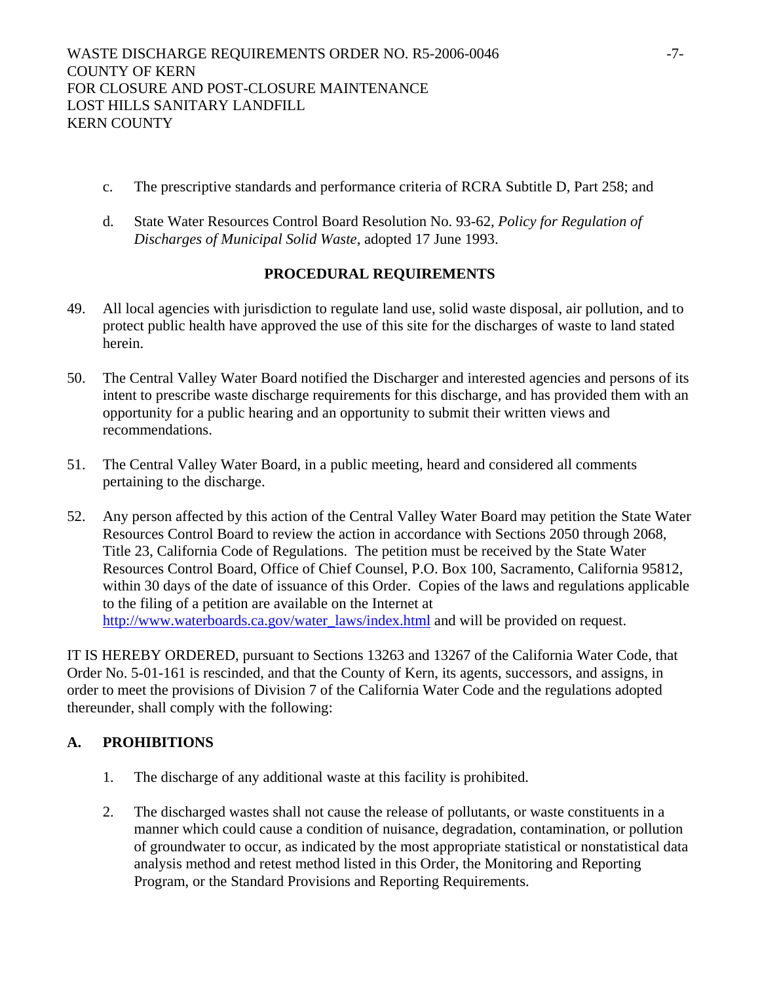- c. The prescriptive standards and performance criteria of RCRA Subtitle D, Part 258; and
- d. State Water Resources Control Board Resolution No. 93-62, *Policy for Regulation of Discharges of Municipal Solid Waste*, adopted 17 June 1993.

# **PROCEDURAL REQUIREMENTS**

- 49. All local agencies with jurisdiction to regulate land use, solid waste disposal, air pollution, and to protect public health have approved the use of this site for the discharges of waste to land stated herein.
- 50. The Central Valley Water Board notified the Discharger and interested agencies and persons of its intent to prescribe waste discharge requirements for this discharge, and has provided them with an opportunity for a public hearing and an opportunity to submit their written views and recommendations.
- 51. The Central Valley Water Board, in a public meeting, heard and considered all comments pertaining to the discharge.
- 52. Any person affected by this action of the Central Valley Water Board may petition the State Water Resources Control Board to review the action in accordance with Sections 2050 through 2068, Title 23, California Code of Regulations. The petition must be received by the State Water Resources Control Board, Office of Chief Counsel, P.O. Box 100, Sacramento, California 95812, within 30 days of the date of issuance of this Order. Copies of the laws and regulations applicable to the filing of a petition are available on the Internet at http://www.waterboards.ca.gov/water\_laws/index.html and will be provided on request.

IT IS HEREBY ORDERED, pursuant to Sections 13263 and 13267 of the California Water Code, that Order No. 5-01-161 is rescinded, and that the County of Kern, its agents, successors, and assigns, in order to meet the provisions of Division 7 of the California Water Code and the regulations adopted thereunder, shall comply with the following:

# **A. PROHIBITIONS**

- 1. The discharge of any additional waste at this facility is prohibited.
- 2. The discharged wastes shall not cause the release of pollutants, or waste constituents in a manner which could cause a condition of nuisance, degradation, contamination, or pollution of groundwater to occur, as indicated by the most appropriate statistical or nonstatistical data analysis method and retest method listed in this Order, the Monitoring and Reporting Program, or the Standard Provisions and Reporting Requirements.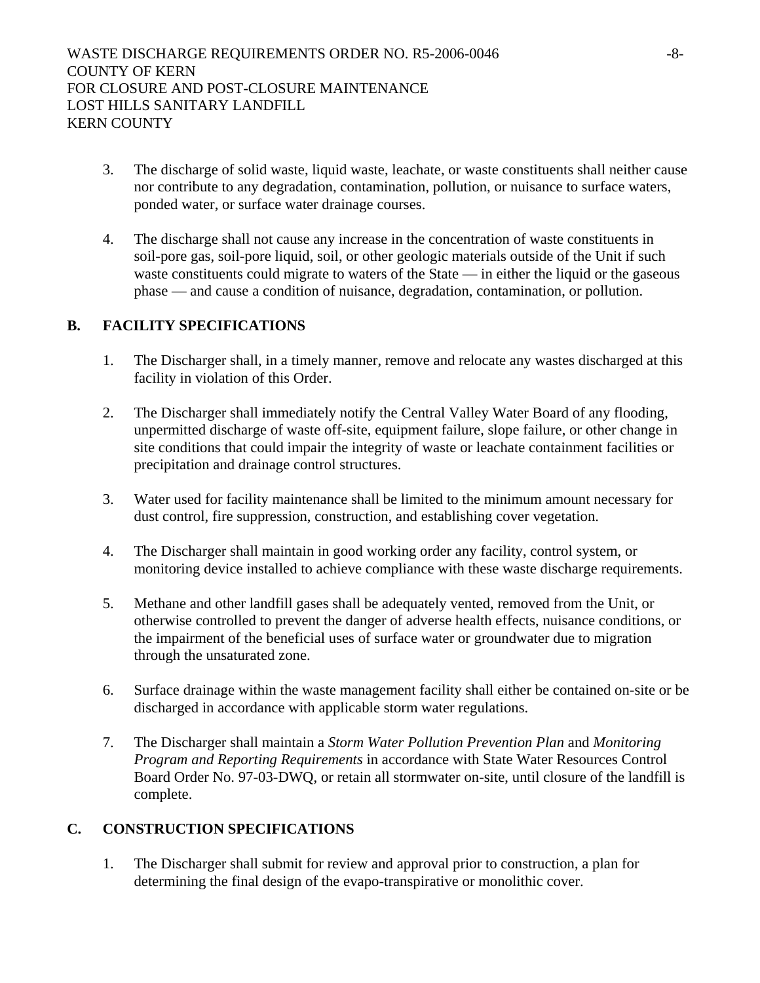- 3. The discharge of solid waste, liquid waste, leachate, or waste constituents shall neither cause nor contribute to any degradation, contamination, pollution, or nuisance to surface waters, ponded water, or surface water drainage courses.
- 4. The discharge shall not cause any increase in the concentration of waste constituents in soil-pore gas, soil-pore liquid, soil, or other geologic materials outside of the Unit if such waste constituents could migrate to waters of the State — in either the liquid or the gaseous phase — and cause a condition of nuisance, degradation, contamination, or pollution.

# **B. FACILITY SPECIFICATIONS**

- 1. The Discharger shall, in a timely manner, remove and relocate any wastes discharged at this facility in violation of this Order.
- 2. The Discharger shall immediately notify the Central Valley Water Board of any flooding, unpermitted discharge of waste off-site, equipment failure, slope failure, or other change in site conditions that could impair the integrity of waste or leachate containment facilities or precipitation and drainage control structures.
- 3. Water used for facility maintenance shall be limited to the minimum amount necessary for dust control, fire suppression, construction, and establishing cover vegetation.
- 4. The Discharger shall maintain in good working order any facility, control system, or monitoring device installed to achieve compliance with these waste discharge requirements.
- 5. Methane and other landfill gases shall be adequately vented, removed from the Unit, or otherwise controlled to prevent the danger of adverse health effects, nuisance conditions, or the impairment of the beneficial uses of surface water or groundwater due to migration through the unsaturated zone.
- 6. Surface drainage within the waste management facility shall either be contained on-site or be discharged in accordance with applicable storm water regulations.
- 7. The Discharger shall maintain a *Storm Water Pollution Prevention Plan* and *Monitoring Program and Reporting Requirements* in accordance with State Water Resources Control Board Order No. 97-03-DWQ, or retain all stormwater on-site, until closure of the landfill is complete.

# **C. CONSTRUCTION SPECIFICATIONS**

1. The Discharger shall submit for review and approval prior to construction, a plan for determining the final design of the evapo-transpirative or monolithic cover.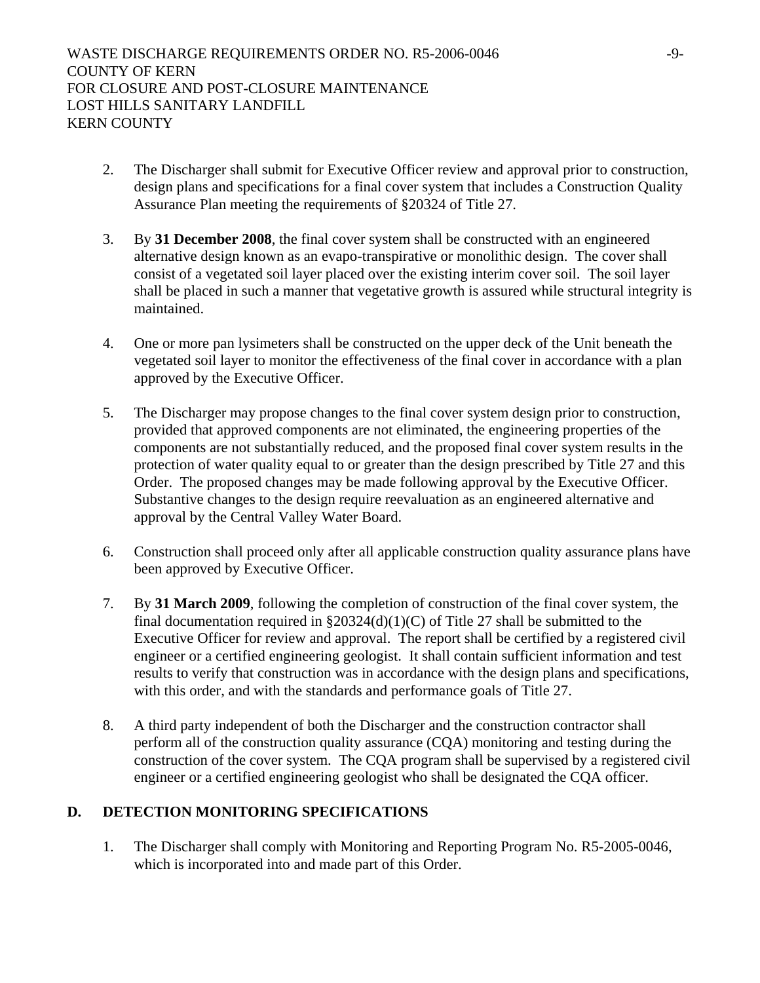- 2. The Discharger shall submit for Executive Officer review and approval prior to construction, design plans and specifications for a final cover system that includes a Construction Quality Assurance Plan meeting the requirements of §20324 of Title 27.
- 3. By **31 December 2008**, the final cover system shall be constructed with an engineered alternative design known as an evapo-transpirative or monolithic design. The cover shall consist of a vegetated soil layer placed over the existing interim cover soil. The soil layer shall be placed in such a manner that vegetative growth is assured while structural integrity is maintained.
- 4. One or more pan lysimeters shall be constructed on the upper deck of the Unit beneath the vegetated soil layer to monitor the effectiveness of the final cover in accordance with a plan approved by the Executive Officer.
- 5. The Discharger may propose changes to the final cover system design prior to construction, provided that approved components are not eliminated, the engineering properties of the components are not substantially reduced, and the proposed final cover system results in the protection of water quality equal to or greater than the design prescribed by Title 27 and this Order. The proposed changes may be made following approval by the Executive Officer. Substantive changes to the design require reevaluation as an engineered alternative and approval by the Central Valley Water Board.
- 6. Construction shall proceed only after all applicable construction quality assurance plans have been approved by Executive Officer.
- 7. By **31 March 2009**, following the completion of construction of the final cover system, the final documentation required in  $\S20324(d)(1)(C)$  of Title 27 shall be submitted to the Executive Officer for review and approval. The report shall be certified by a registered civil engineer or a certified engineering geologist. It shall contain sufficient information and test results to verify that construction was in accordance with the design plans and specifications, with this order, and with the standards and performance goals of Title 27.
- 8. A third party independent of both the Discharger and the construction contractor shall perform all of the construction quality assurance (CQA) monitoring and testing during the construction of the cover system. The CQA program shall be supervised by a registered civil engineer or a certified engineering geologist who shall be designated the CQA officer.

# **D. DETECTION MONITORING SPECIFICATIONS**

1. The Discharger shall comply with Monitoring and Reporting Program No. R5-2005-0046, which is incorporated into and made part of this Order.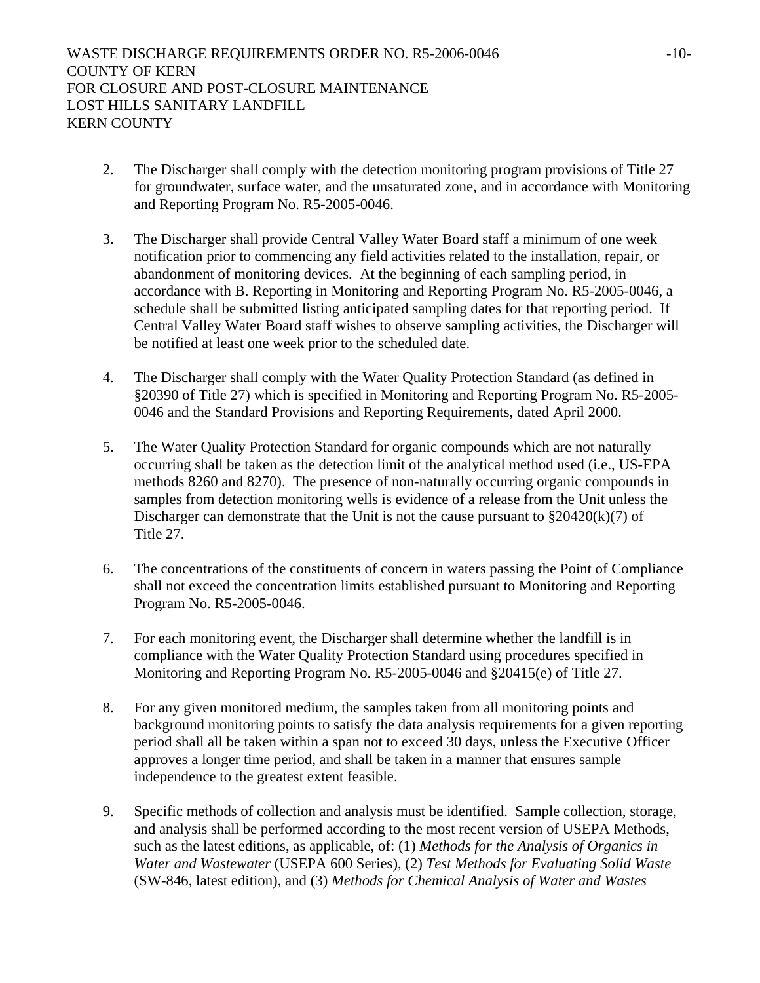- 2. The Discharger shall comply with the detection monitoring program provisions of Title 27 for groundwater, surface water, and the unsaturated zone, and in accordance with Monitoring and Reporting Program No. R5-2005-0046.
- 3. The Discharger shall provide Central Valley Water Board staff a minimum of one week notification prior to commencing any field activities related to the installation, repair, or abandonment of monitoring devices. At the beginning of each sampling period, in accordance with B. Reporting in Monitoring and Reporting Program No. R5-2005-0046, a schedule shall be submitted listing anticipated sampling dates for that reporting period. If Central Valley Water Board staff wishes to observe sampling activities, the Discharger will be notified at least one week prior to the scheduled date.
- 4. The Discharger shall comply with the Water Quality Protection Standard (as defined in §20390 of Title 27) which is specified in Monitoring and Reporting Program No. R5-2005- 0046 and the Standard Provisions and Reporting Requirements, dated April 2000.
- 5. The Water Quality Protection Standard for organic compounds which are not naturally occurring shall be taken as the detection limit of the analytical method used (i.e., US-EPA methods 8260 and 8270). The presence of non-naturally occurring organic compounds in samples from detection monitoring wells is evidence of a release from the Unit unless the Discharger can demonstrate that the Unit is not the cause pursuant to  $\S 20420(k)(7)$  of Title 27.
- 6. The concentrations of the constituents of concern in waters passing the Point of Compliance shall not exceed the concentration limits established pursuant to Monitoring and Reporting Program No. R5-2005-0046.
- 7. For each monitoring event, the Discharger shall determine whether the landfill is in compliance with the Water Quality Protection Standard using procedures specified in Monitoring and Reporting Program No. R5-2005-0046 and §20415(e) of Title 27.
- 8. For any given monitored medium, the samples taken from all monitoring points and background monitoring points to satisfy the data analysis requirements for a given reporting period shall all be taken within a span not to exceed 30 days, unless the Executive Officer approves a longer time period, and shall be taken in a manner that ensures sample independence to the greatest extent feasible.
- 9. Specific methods of collection and analysis must be identified. Sample collection, storage, and analysis shall be performed according to the most recent version of USEPA Methods, such as the latest editions, as applicable, of: (1) *Methods for the Analysis of Organics in Water and Wastewater* (USEPA 600 Series), (2) *Test Methods for Evaluating Solid Waste* (SW-846, latest edition), and (3) *Methods for Chemical Analysis of Water and Wastes*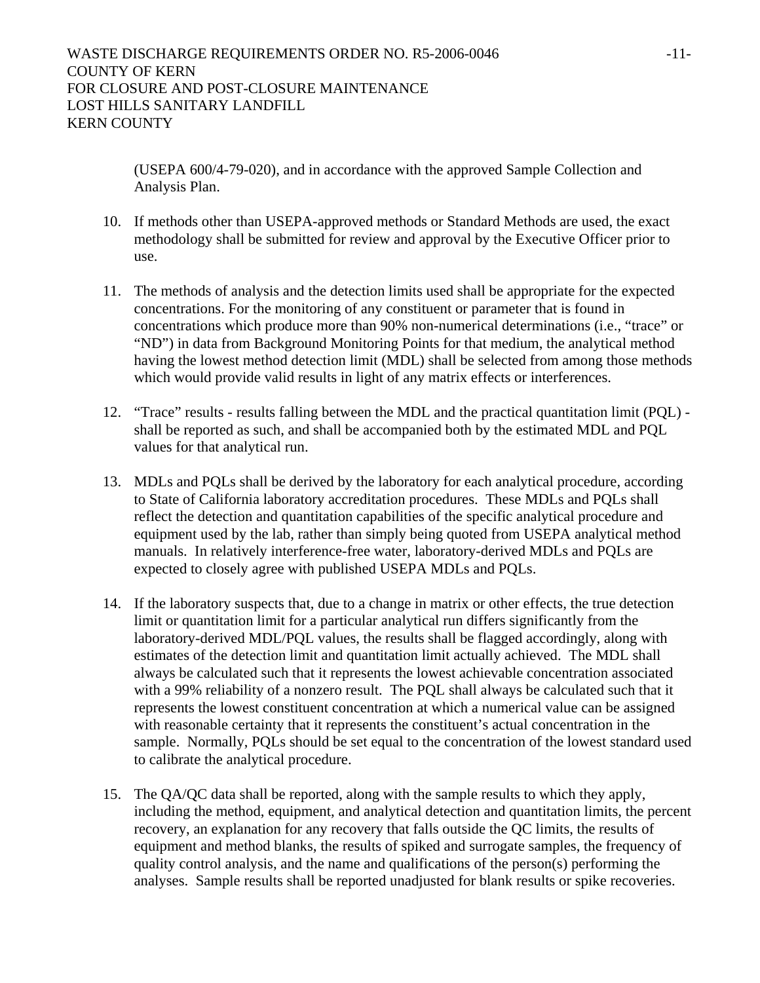(USEPA 600/4-79-020), and in accordance with the approved Sample Collection and Analysis Plan.

- 10. If methods other than USEPA-approved methods or Standard Methods are used, the exact methodology shall be submitted for review and approval by the Executive Officer prior to use.
- 11. The methods of analysis and the detection limits used shall be appropriate for the expected concentrations. For the monitoring of any constituent or parameter that is found in concentrations which produce more than 90% non-numerical determinations (i.e., "trace" or "ND") in data from Background Monitoring Points for that medium, the analytical method having the lowest method detection limit (MDL) shall be selected from among those methods which would provide valid results in light of any matrix effects or interferences.
- 12. "Trace" results results falling between the MDL and the practical quantitation limit (PQL) shall be reported as such, and shall be accompanied both by the estimated MDL and PQL values for that analytical run.
- 13. MDLs and PQLs shall be derived by the laboratory for each analytical procedure, according to State of California laboratory accreditation procedures. These MDLs and PQLs shall reflect the detection and quantitation capabilities of the specific analytical procedure and equipment used by the lab, rather than simply being quoted from USEPA analytical method manuals. In relatively interference-free water, laboratory-derived MDLs and PQLs are expected to closely agree with published USEPA MDLs and PQLs.
- 14. If the laboratory suspects that, due to a change in matrix or other effects, the true detection limit or quantitation limit for a particular analytical run differs significantly from the laboratory-derived MDL/PQL values, the results shall be flagged accordingly, along with estimates of the detection limit and quantitation limit actually achieved. The MDL shall always be calculated such that it represents the lowest achievable concentration associated with a 99% reliability of a nonzero result. The PQL shall always be calculated such that it represents the lowest constituent concentration at which a numerical value can be assigned with reasonable certainty that it represents the constituent's actual concentration in the sample. Normally, PQLs should be set equal to the concentration of the lowest standard used to calibrate the analytical procedure.
- 15. The QA/QC data shall be reported, along with the sample results to which they apply, including the method, equipment, and analytical detection and quantitation limits, the percent recovery, an explanation for any recovery that falls outside the QC limits, the results of equipment and method blanks, the results of spiked and surrogate samples, the frequency of quality control analysis, and the name and qualifications of the person(s) performing the analyses. Sample results shall be reported unadjusted for blank results or spike recoveries.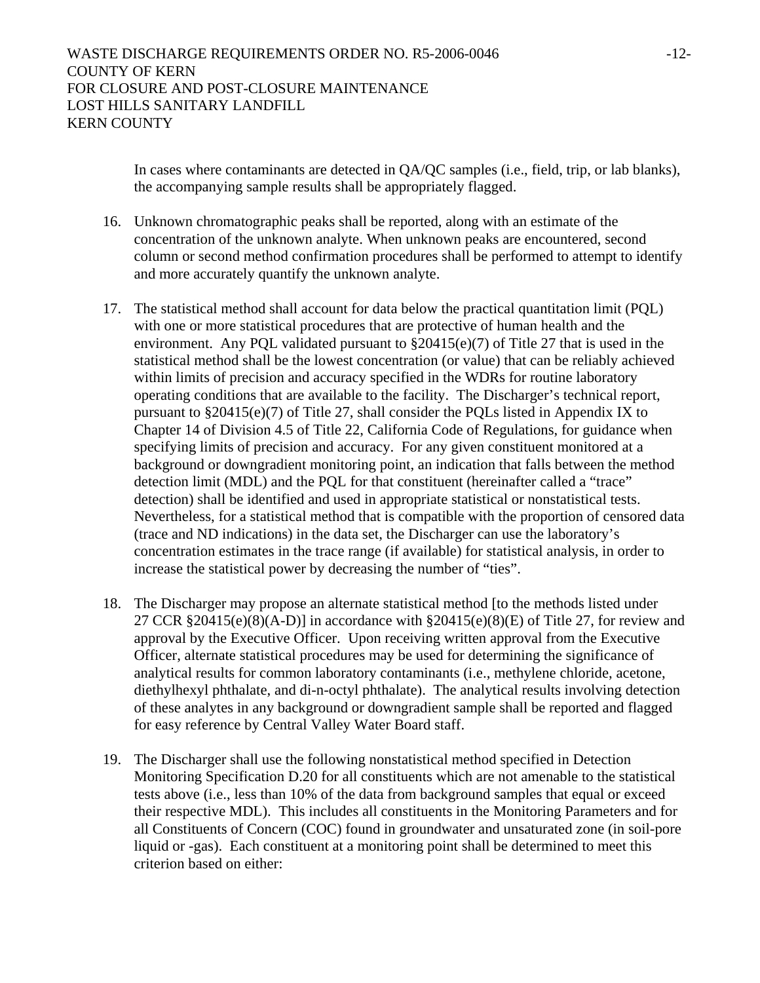In cases where contaminants are detected in QA/QC samples (i.e., field, trip, or lab blanks), the accompanying sample results shall be appropriately flagged.

- 16. Unknown chromatographic peaks shall be reported, along with an estimate of the concentration of the unknown analyte. When unknown peaks are encountered, second column or second method confirmation procedures shall be performed to attempt to identify and more accurately quantify the unknown analyte.
- 17. The statistical method shall account for data below the practical quantitation limit (PQL) with one or more statistical procedures that are protective of human health and the environment. Any PQL validated pursuant to §20415(e)(7) of Title 27 that is used in the statistical method shall be the lowest concentration (or value) that can be reliably achieved within limits of precision and accuracy specified in the WDRs for routine laboratory operating conditions that are available to the facility. The Discharger's technical report, pursuant to §20415(e)(7) of Title 27, shall consider the PQLs listed in Appendix IX to Chapter 14 of Division 4.5 of Title 22, California Code of Regulations, for guidance when specifying limits of precision and accuracy. For any given constituent monitored at a background or downgradient monitoring point, an indication that falls between the method detection limit (MDL) and the PQL for that constituent (hereinafter called a "trace" detection) shall be identified and used in appropriate statistical or nonstatistical tests. Nevertheless, for a statistical method that is compatible with the proportion of censored data (trace and ND indications) in the data set, the Discharger can use the laboratory's concentration estimates in the trace range (if available) for statistical analysis, in order to increase the statistical power by decreasing the number of "ties".
- 18. The Discharger may propose an alternate statistical method [to the methods listed under 27 CCR  $\S 20415(e)(8)(A-D)$ ] in accordance with  $\S 20415(e)(8)(E)$  of Title 27, for review and approval by the Executive Officer. Upon receiving written approval from the Executive Officer, alternate statistical procedures may be used for determining the significance of analytical results for common laboratory contaminants (i.e., methylene chloride, acetone, diethylhexyl phthalate, and di-n-octyl phthalate). The analytical results involving detection of these analytes in any background or downgradient sample shall be reported and flagged for easy reference by Central Valley Water Board staff.
- 19. The Discharger shall use the following nonstatistical method specified in Detection Monitoring Specification D.20 for all constituents which are not amenable to the statistical tests above (i.e., less than 10% of the data from background samples that equal or exceed their respective MDL). This includes all constituents in the Monitoring Parameters and for all Constituents of Concern (COC) found in groundwater and unsaturated zone (in soil-pore liquid or -gas). Each constituent at a monitoring point shall be determined to meet this criterion based on either: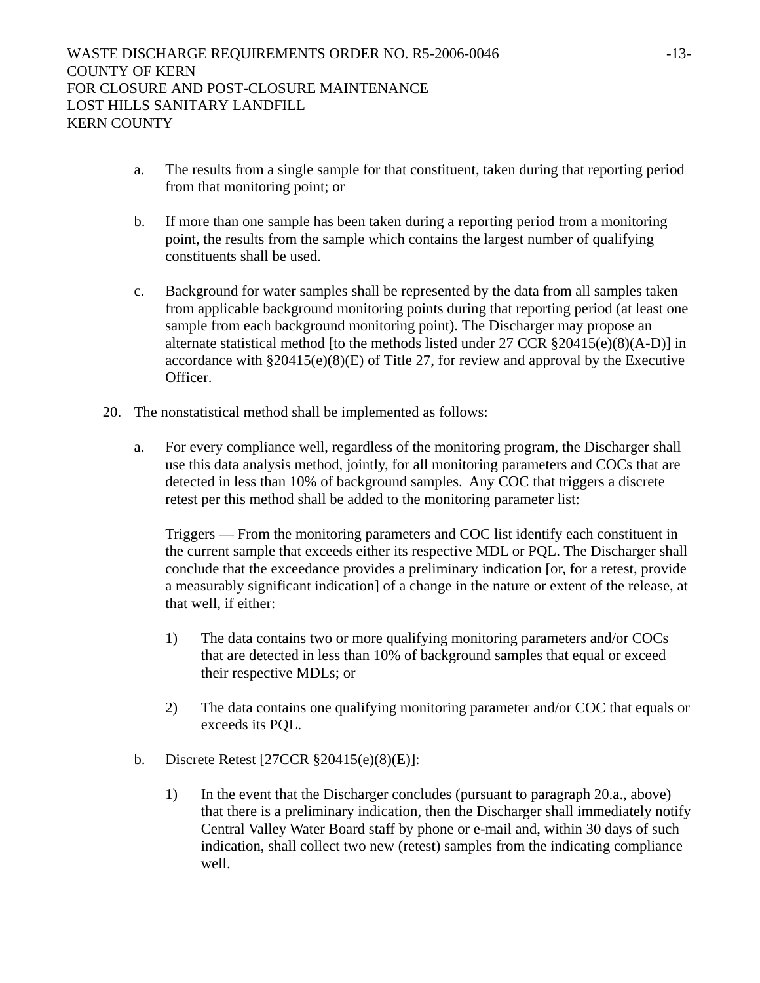- a. The results from a single sample for that constituent, taken during that reporting period from that monitoring point; or
- b. If more than one sample has been taken during a reporting period from a monitoring point, the results from the sample which contains the largest number of qualifying constituents shall be used.
- c. Background for water samples shall be represented by the data from all samples taken from applicable background monitoring points during that reporting period (at least one sample from each background monitoring point). The Discharger may propose an alternate statistical method [to the methods listed under  $27$  CCR  $\S 20415(e)(8)(A-D)$ ] in accordance with §20415(e)(8)(E) of Title 27, for review and approval by the Executive Officer.
- 20. The nonstatistical method shall be implemented as follows:
	- a. For every compliance well, regardless of the monitoring program, the Discharger shall use this data analysis method, jointly, for all monitoring parameters and COCs that are detected in less than 10% of background samples. Any COC that triggers a discrete retest per this method shall be added to the monitoring parameter list:

Triggers — From the monitoring parameters and COC list identify each constituent in the current sample that exceeds either its respective MDL or PQL. The Discharger shall conclude that the exceedance provides a preliminary indication [or, for a retest, provide a measurably significant indication] of a change in the nature or extent of the release, at that well, if either:

- 1) The data contains two or more qualifying monitoring parameters and/or COCs that are detected in less than 10% of background samples that equal or exceed their respective MDLs; or
- 2) The data contains one qualifying monitoring parameter and/or COC that equals or exceeds its PQL.
- b. Discrete Retest [27CCR §20415(e)(8)(E)]:
	- 1) In the event that the Discharger concludes (pursuant to paragraph 20.a., above) that there is a preliminary indication, then the Discharger shall immediately notify Central Valley Water Board staff by phone or e-mail and, within 30 days of such indication, shall collect two new (retest) samples from the indicating compliance well.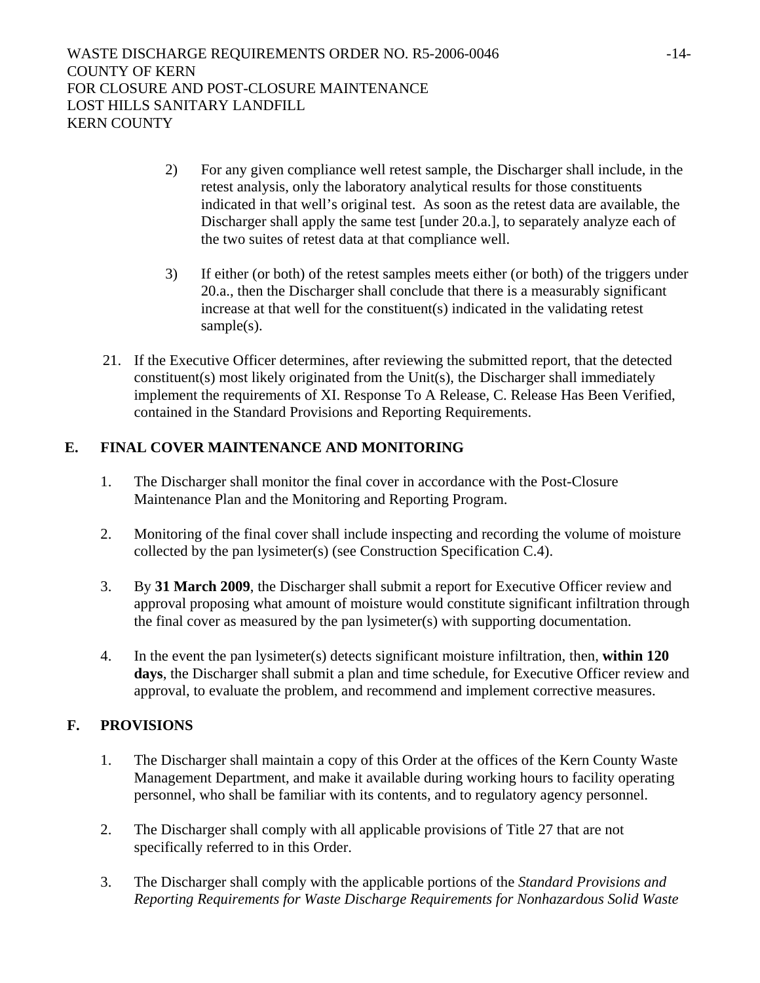- 2) For any given compliance well retest sample, the Discharger shall include, in the retest analysis, only the laboratory analytical results for those constituents indicated in that well's original test. As soon as the retest data are available, the Discharger shall apply the same test [under 20.a.], to separately analyze each of the two suites of retest data at that compliance well.
- 3) If either (or both) of the retest samples meets either (or both) of the triggers under 20.a., then the Discharger shall conclude that there is a measurably significant increase at that well for the constituent(s) indicated in the validating retest sample(s).
- 21. If the Executive Officer determines, after reviewing the submitted report, that the detected constituent(s) most likely originated from the Unit(s), the Discharger shall immediately implement the requirements of XI. Response To A Release, C. Release Has Been Verified, contained in the Standard Provisions and Reporting Requirements.

# **E. FINAL COVER MAINTENANCE AND MONITORING**

- 1. The Discharger shall monitor the final cover in accordance with the Post-Closure Maintenance Plan and the Monitoring and Reporting Program.
- 2. Monitoring of the final cover shall include inspecting and recording the volume of moisture collected by the pan lysimeter(s) (see Construction Specification C.4).
- 3. By **31 March 2009**, the Discharger shall submit a report for Executive Officer review and approval proposing what amount of moisture would constitute significant infiltration through the final cover as measured by the pan lysimeter(s) with supporting documentation.
- 4. In the event the pan lysimeter(s) detects significant moisture infiltration, then, **within 120 days**, the Discharger shall submit a plan and time schedule, for Executive Officer review and approval, to evaluate the problem, and recommend and implement corrective measures.

# **F. PROVISIONS**

- 1. The Discharger shall maintain a copy of this Order at the offices of the Kern County Waste Management Department, and make it available during working hours to facility operating personnel, who shall be familiar with its contents, and to regulatory agency personnel.
- 2. The Discharger shall comply with all applicable provisions of Title 27 that are not specifically referred to in this Order.
- 3. The Discharger shall comply with the applicable portions of the *Standard Provisions and Reporting Requirements for Waste Discharge Requirements for Nonhazardous Solid Waste*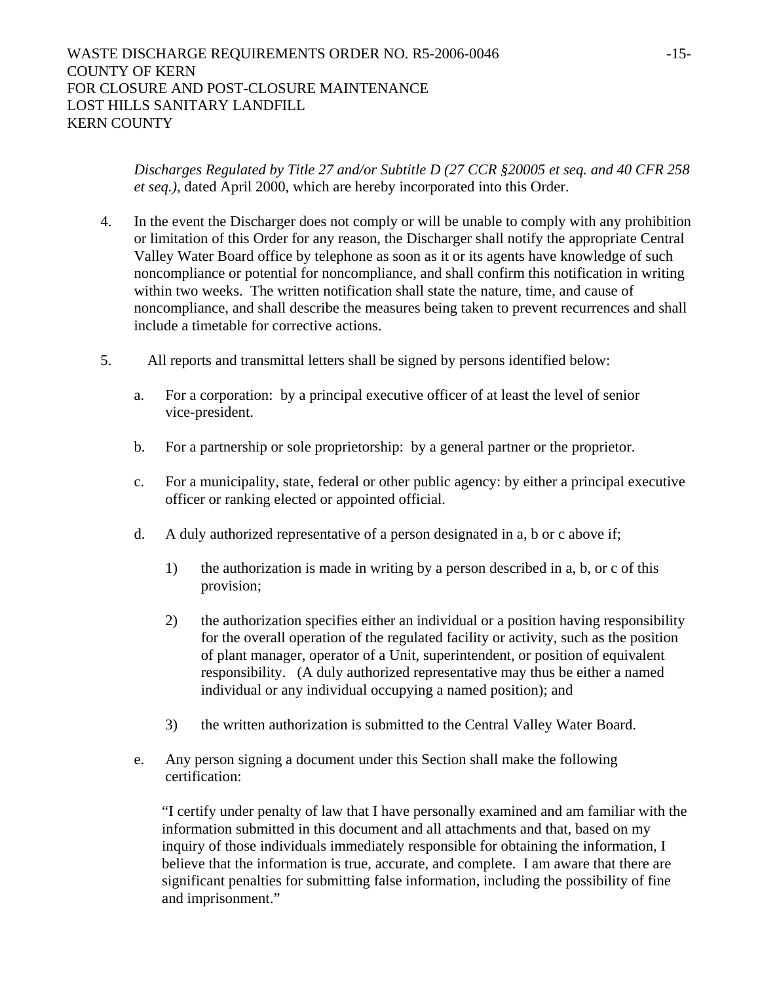*Discharges Regulated by Title 27 and/or Subtitle D (27 CCR §20005 et seq. and 40 CFR 258 et seq.)*, dated April 2000, which are hereby incorporated into this Order.

- 4. In the event the Discharger does not comply or will be unable to comply with any prohibition or limitation of this Order for any reason, the Discharger shall notify the appropriate Central Valley Water Board office by telephone as soon as it or its agents have knowledge of such noncompliance or potential for noncompliance, and shall confirm this notification in writing within two weeks. The written notification shall state the nature, time, and cause of noncompliance, and shall describe the measures being taken to prevent recurrences and shall include a timetable for corrective actions.
- 5. All reports and transmittal letters shall be signed by persons identified below:
	- a. For a corporation: by a principal executive officer of at least the level of senior vice-president.
	- b. For a partnership or sole proprietorship: by a general partner or the proprietor.
	- c. For a municipality, state, federal or other public agency: by either a principal executive officer or ranking elected or appointed official.
	- d. A duly authorized representative of a person designated in a, b or c above if;
		- 1) the authorization is made in writing by a person described in a, b, or c of this provision;
		- 2) the authorization specifies either an individual or a position having responsibility for the overall operation of the regulated facility or activity, such as the position of plant manager, operator of a Unit, superintendent, or position of equivalent responsibility. (A duly authorized representative may thus be either a named individual or any individual occupying a named position); and
		- 3) the written authorization is submitted to the Central Valley Water Board.
	- e. Any person signing a document under this Section shall make the following certification:

"I certify under penalty of law that I have personally examined and am familiar with the information submitted in this document and all attachments and that, based on my inquiry of those individuals immediately responsible for obtaining the information, I believe that the information is true, accurate, and complete. I am aware that there are significant penalties for submitting false information, including the possibility of fine and imprisonment."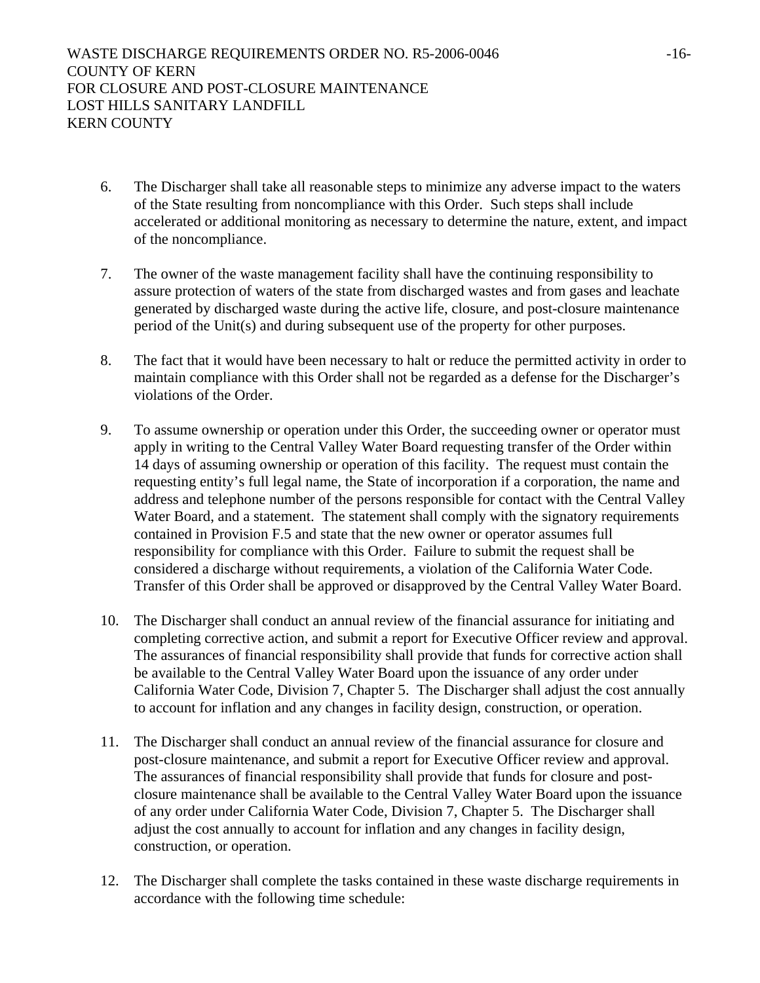- 6. The Discharger shall take all reasonable steps to minimize any adverse impact to the waters of the State resulting from noncompliance with this Order. Such steps shall include accelerated or additional monitoring as necessary to determine the nature, extent, and impact of the noncompliance.
- 7. The owner of the waste management facility shall have the continuing responsibility to assure protection of waters of the state from discharged wastes and from gases and leachate generated by discharged waste during the active life, closure, and post-closure maintenance period of the Unit(s) and during subsequent use of the property for other purposes.
- 8. The fact that it would have been necessary to halt or reduce the permitted activity in order to maintain compliance with this Order shall not be regarded as a defense for the Discharger's violations of the Order.
- 9. To assume ownership or operation under this Order, the succeeding owner or operator must apply in writing to the Central Valley Water Board requesting transfer of the Order within 14 days of assuming ownership or operation of this facility. The request must contain the requesting entity's full legal name, the State of incorporation if a corporation, the name and address and telephone number of the persons responsible for contact with the Central Valley Water Board, and a statement. The statement shall comply with the signatory requirements contained in Provision F.5 and state that the new owner or operator assumes full responsibility for compliance with this Order. Failure to submit the request shall be considered a discharge without requirements, a violation of the California Water Code. Transfer of this Order shall be approved or disapproved by the Central Valley Water Board.
- 10. The Discharger shall conduct an annual review of the financial assurance for initiating and completing corrective action, and submit a report for Executive Officer review and approval. The assurances of financial responsibility shall provide that funds for corrective action shall be available to the Central Valley Water Board upon the issuance of any order under California Water Code, Division 7, Chapter 5. The Discharger shall adjust the cost annually to account for inflation and any changes in facility design, construction, or operation.
- 11. The Discharger shall conduct an annual review of the financial assurance for closure and post-closure maintenance, and submit a report for Executive Officer review and approval. The assurances of financial responsibility shall provide that funds for closure and postclosure maintenance shall be available to the Central Valley Water Board upon the issuance of any order under California Water Code, Division 7, Chapter 5. The Discharger shall adjust the cost annually to account for inflation and any changes in facility design, construction, or operation.
- 12. The Discharger shall complete the tasks contained in these waste discharge requirements in accordance with the following time schedule: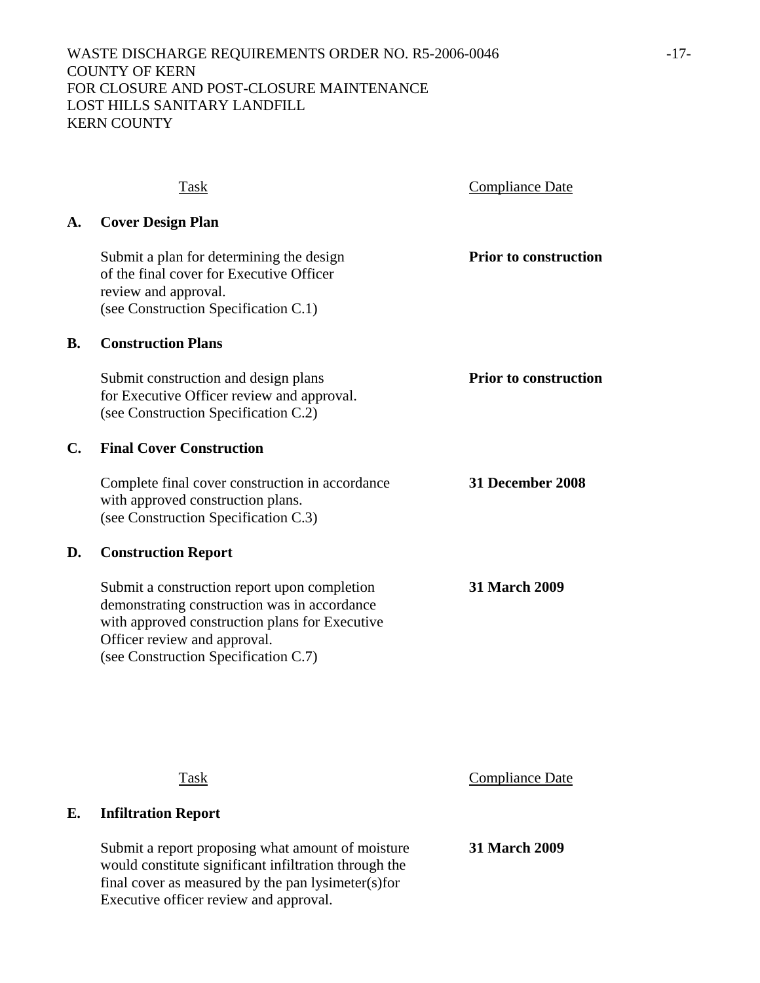|    | <b>Task</b>                                                                                                                                                                                                            | <b>Compliance Date</b>       |
|----|------------------------------------------------------------------------------------------------------------------------------------------------------------------------------------------------------------------------|------------------------------|
| А. | <b>Cover Design Plan</b>                                                                                                                                                                                               |                              |
|    | Submit a plan for determining the design<br>of the final cover for Executive Officer<br>review and approval.<br>(see Construction Specification C.1)                                                                   | <b>Prior to construction</b> |
| B. | <b>Construction Plans</b>                                                                                                                                                                                              |                              |
|    | Submit construction and design plans<br>for Executive Officer review and approval.<br>(see Construction Specification C.2)                                                                                             | <b>Prior to construction</b> |
| C. | <b>Final Cover Construction</b>                                                                                                                                                                                        |                              |
|    | Complete final cover construction in accordance<br>with approved construction plans.<br>(see Construction Specification C.3)                                                                                           | 31 December 2008             |
| D. | <b>Construction Report</b>                                                                                                                                                                                             |                              |
|    | Submit a construction report upon completion<br>demonstrating construction was in accordance<br>with approved construction plans for Executive<br>Officer review and approval.<br>(see Construction Specification C.7) | <b>31 March 2009</b>         |
|    |                                                                                                                                                                                                                        |                              |

**E. Infiltration Report** 

 Submit a report proposing what amount of moisture **31 March 2009** would constitute significant infiltration through the final cover as measured by the pan lysimeter(s)for Executive officer review and approval.

Task Compliance Date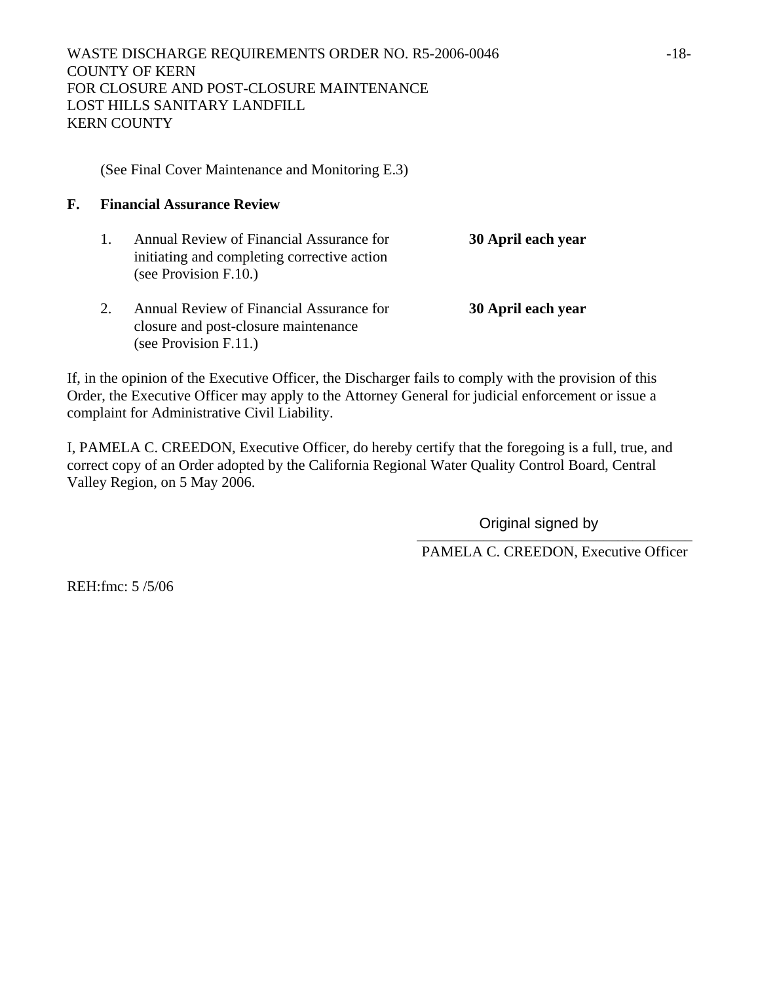(See Final Cover Maintenance and Monitoring E.3)

# **F. Financial Assurance Review**

- 1. Annual Review of Financial Assurance for **30 April each year** initiating and completing corrective action (see Provision F.10.)
- 2. Annual Review of Financial Assurance for **30 April each year** closure and post-closure maintenance (see Provision F.11.)

If, in the opinion of the Executive Officer, the Discharger fails to comply with the provision of this Order, the Executive Officer may apply to the Attorney General for judicial enforcement or issue a complaint for Administrative Civil Liability.

I, PAMELA C. CREEDON, Executive Officer, do hereby certify that the foregoing is a full, true, and correct copy of an Order adopted by the California Regional Water Quality Control Board, Central Valley Region, on 5 May 2006.

Original signed by

PAMELA C. CREEDON, Executive Officer

REH:fmc: 5 /5/06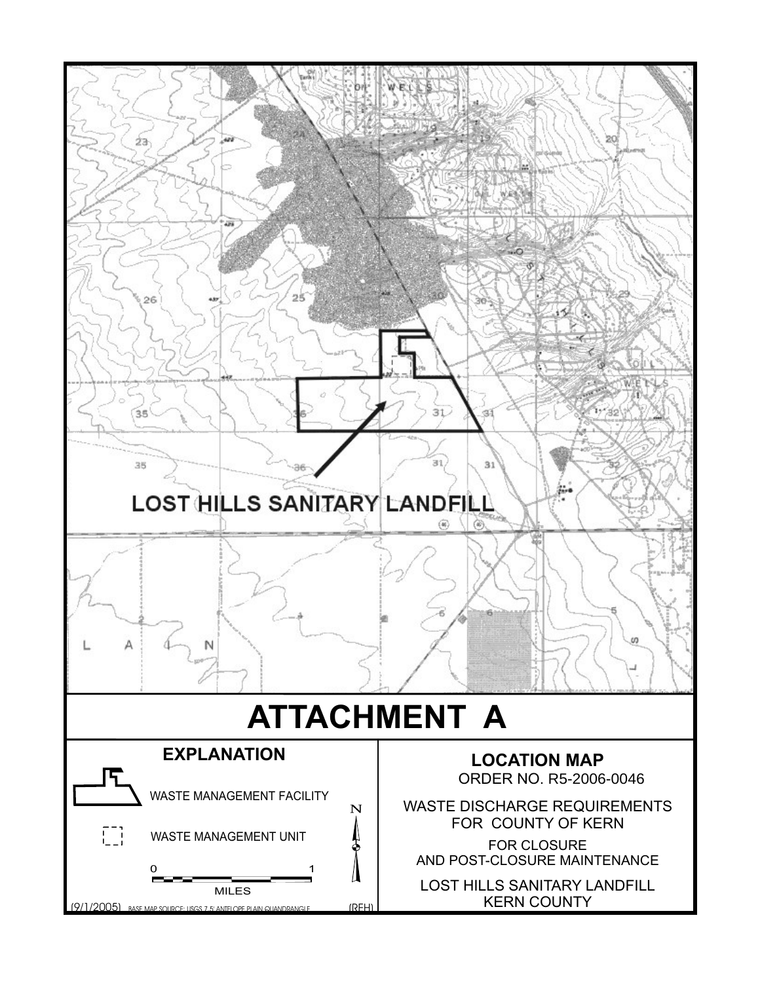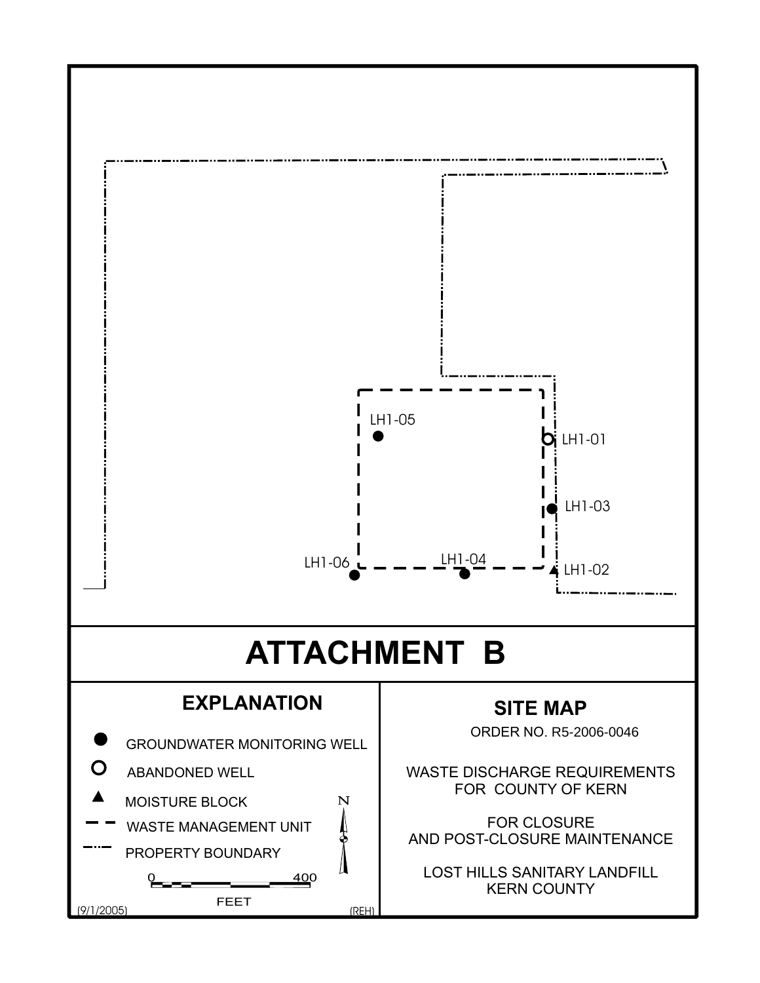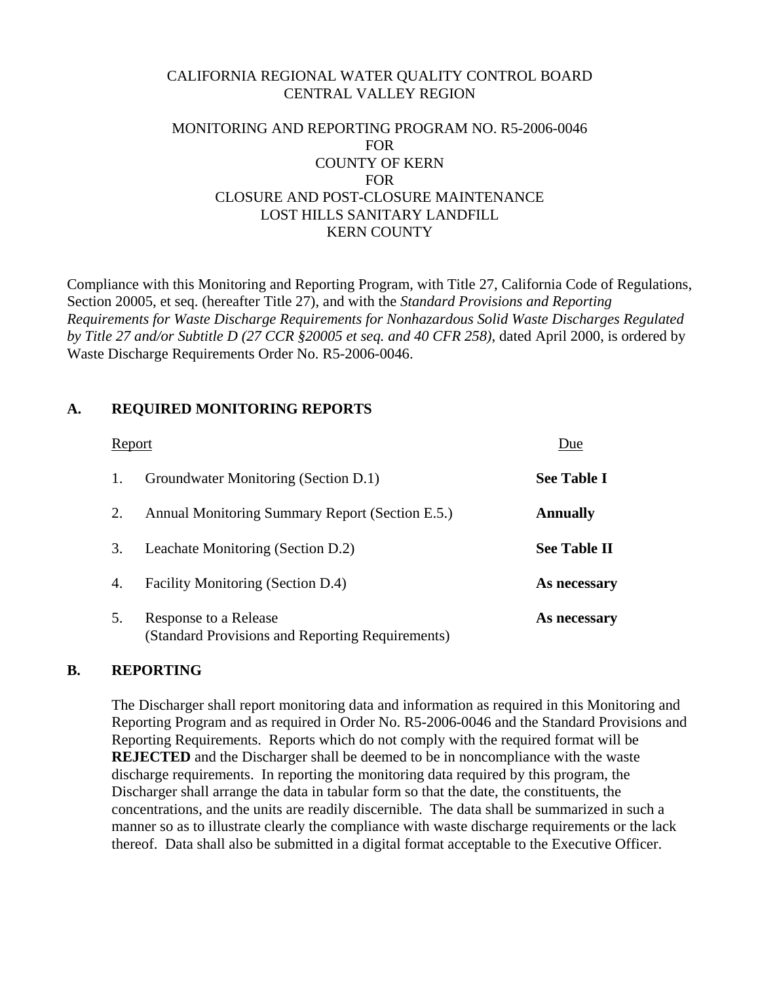## CALIFORNIA REGIONAL WATER QUALITY CONTROL BOARD CENTRAL VALLEY REGION

## MONITORING AND REPORTING PROGRAM NO. R5-2006-0046 FOR COUNTY OF KERN FOR CLOSURE AND POST-CLOSURE MAINTENANCE LOST HILLS SANITARY LANDFILL KERN COUNTY

Compliance with this Monitoring and Reporting Program, with Title 27, California Code of Regulations, Section 20005, et seq. (hereafter Title 27), and with the *Standard Provisions and Reporting Requirements for Waste Discharge Requirements for Nonhazardous Solid Waste Discharges Regulated by Title 27 and/or Subtitle D (27 CCR §20005 et seq. and 40 CFR 258)*, dated April 2000, is ordered by Waste Discharge Requirements Order No. R5-2006-0046.

## **A. REQUIRED MONITORING REPORTS**

| Report |                                                                           | Due                 |  |
|--------|---------------------------------------------------------------------------|---------------------|--|
| 1.     | Groundwater Monitoring (Section D.1)                                      | <b>See Table I</b>  |  |
| 2.     | Annual Monitoring Summary Report (Section E.5.)                           | <b>Annually</b>     |  |
| 3.     | Leachate Monitoring (Section D.2)                                         | <b>See Table II</b> |  |
| 4.     | Facility Monitoring (Section D.4)                                         | As necessary        |  |
| 5.     | Response to a Release<br>(Standard Provisions and Reporting Requirements) | As necessary        |  |

## **B. REPORTING**

 The Discharger shall report monitoring data and information as required in this Monitoring and Reporting Program and as required in Order No. R5-2006-0046 and the Standard Provisions and Reporting Requirements. Reports which do not comply with the required format will be **REJECTED** and the Discharger shall be deemed to be in noncompliance with the waste discharge requirements. In reporting the monitoring data required by this program, the Discharger shall arrange the data in tabular form so that the date, the constituents, the concentrations, and the units are readily discernible. The data shall be summarized in such a manner so as to illustrate clearly the compliance with waste discharge requirements or the lack thereof. Data shall also be submitted in a digital format acceptable to the Executive Officer.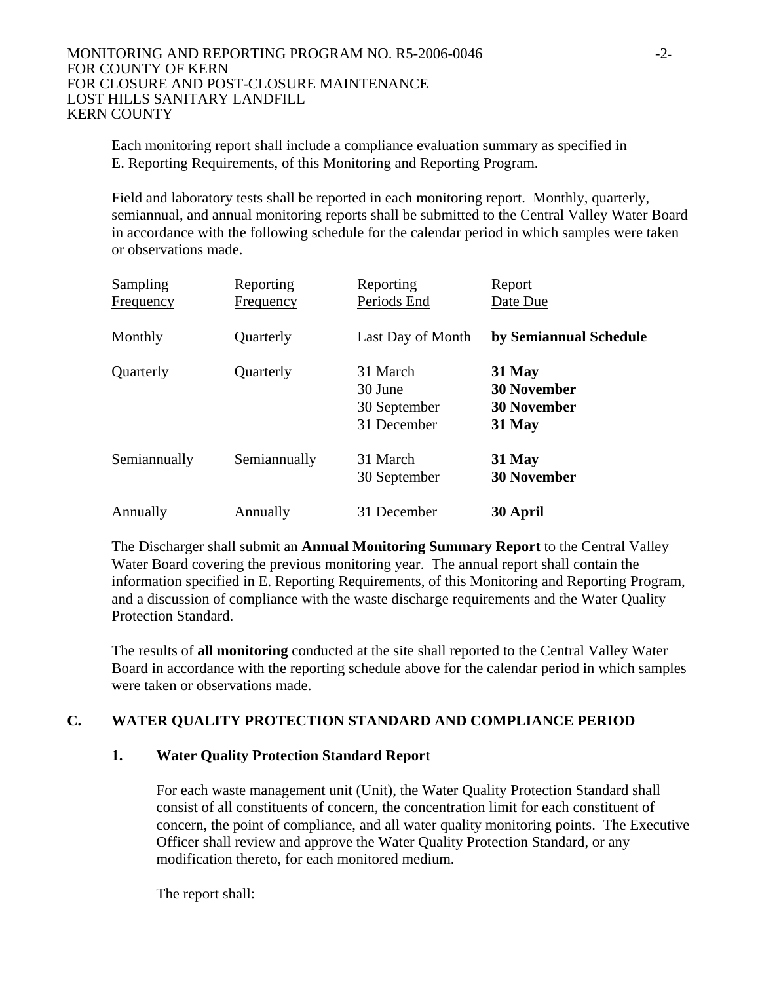Each monitoring report shall include a compliance evaluation summary as specified in E. Reporting Requirements, of this Monitoring and Reporting Program.

 Field and laboratory tests shall be reported in each monitoring report. Monthly, quarterly, semiannual, and annual monitoring reports shall be submitted to the Central Valley Water Board in accordance with the following schedule for the calendar period in which samples were taken or observations made.

| Sampling         | Reporting        | Reporting         | Report                 |
|------------------|------------------|-------------------|------------------------|
| <b>Frequency</b> | <b>Frequency</b> | Periods End       | Date Due               |
| Monthly          | Quarterly        | Last Day of Month | by Semiannual Schedule |
| Quarterly        | Quarterly        | 31 March          | 31 May                 |
|                  |                  | 30 June           | <b>30 November</b>     |
|                  |                  | 30 September      | <b>30 November</b>     |
|                  |                  | 31 December       | 31 May                 |
| Semiannually     | Semiannually     | 31 March          | 31 May                 |
|                  |                  | 30 September      | <b>30 November</b>     |
| Annually         | Annually         | 31 December       | 30 April               |

 The Discharger shall submit an **Annual Monitoring Summary Report** to the Central Valley Water Board covering the previous monitoring year. The annual report shall contain the information specified in E. Reporting Requirements, of this Monitoring and Reporting Program, and a discussion of compliance with the waste discharge requirements and the Water Quality Protection Standard.

 The results of **all monitoring** conducted at the site shall reported to the Central Valley Water Board in accordance with the reporting schedule above for the calendar period in which samples were taken or observations made.

# **C. WATER QUALITY PROTECTION STANDARD AND COMPLIANCE PERIOD**

# **1. Water Quality Protection Standard Report**

 For each waste management unit (Unit), the Water Quality Protection Standard shall consist of all constituents of concern, the concentration limit for each constituent of concern, the point of compliance, and all water quality monitoring points. The Executive Officer shall review and approve the Water Quality Protection Standard, or any modification thereto, for each monitored medium.

The report shall: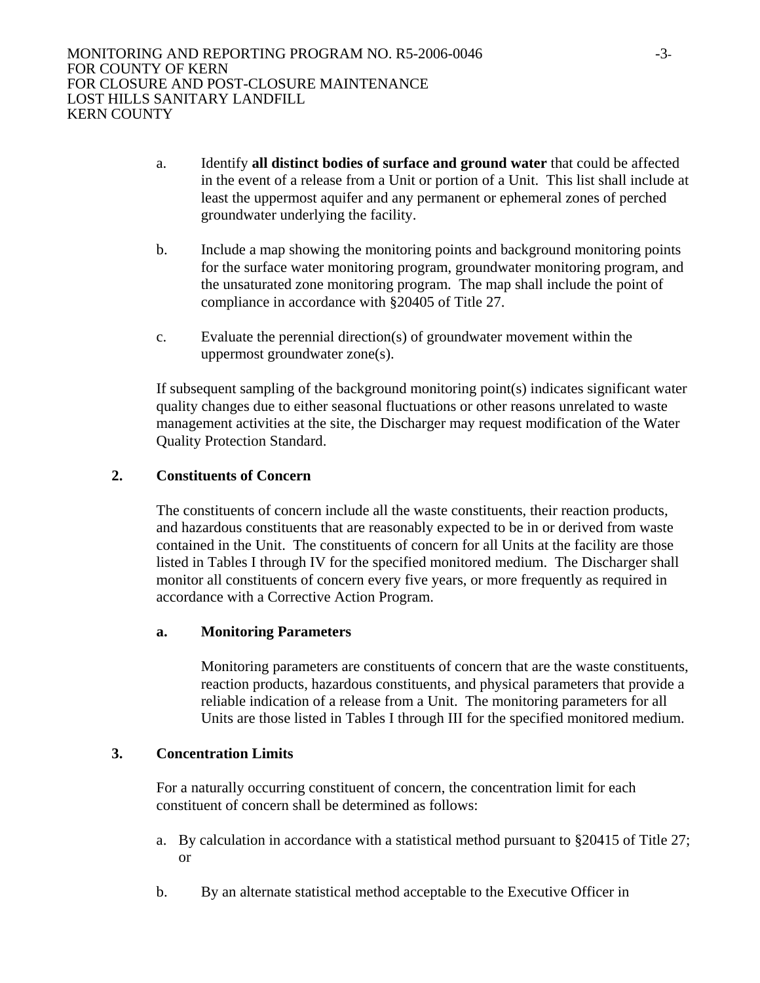- a. Identify **all distinct bodies of surface and ground water** that could be affected in the event of a release from a Unit or portion of a Unit. This list shall include at least the uppermost aquifer and any permanent or ephemeral zones of perched groundwater underlying the facility.
- b. Include a map showing the monitoring points and background monitoring points for the surface water monitoring program, groundwater monitoring program, and the unsaturated zone monitoring program. The map shall include the point of compliance in accordance with §20405 of Title 27.
- c. Evaluate the perennial direction(s) of groundwater movement within the uppermost groundwater zone(s).

 If subsequent sampling of the background monitoring point(s) indicates significant water quality changes due to either seasonal fluctuations or other reasons unrelated to waste management activities at the site, the Discharger may request modification of the Water Quality Protection Standard.

## **2. Constituents of Concern**

 The constituents of concern include all the waste constituents, their reaction products, and hazardous constituents that are reasonably expected to be in or derived from waste contained in the Unit. The constituents of concern for all Units at the facility are those listed in Tables I through IV for the specified monitored medium. The Discharger shall monitor all constituents of concern every five years, or more frequently as required in accordance with a Corrective Action Program.

## **a. Monitoring Parameters**

Monitoring parameters are constituents of concern that are the waste constituents, reaction products, hazardous constituents, and physical parameters that provide a reliable indication of a release from a Unit. The monitoring parameters for all Units are those listed in Tables I through III for the specified monitored medium.

## **3. Concentration Limits**

 For a naturally occurring constituent of concern, the concentration limit for each constituent of concern shall be determined as follows:

- a. By calculation in accordance with a statistical method pursuant to §20415 of Title 27; or
- b. By an alternate statistical method acceptable to the Executive Officer in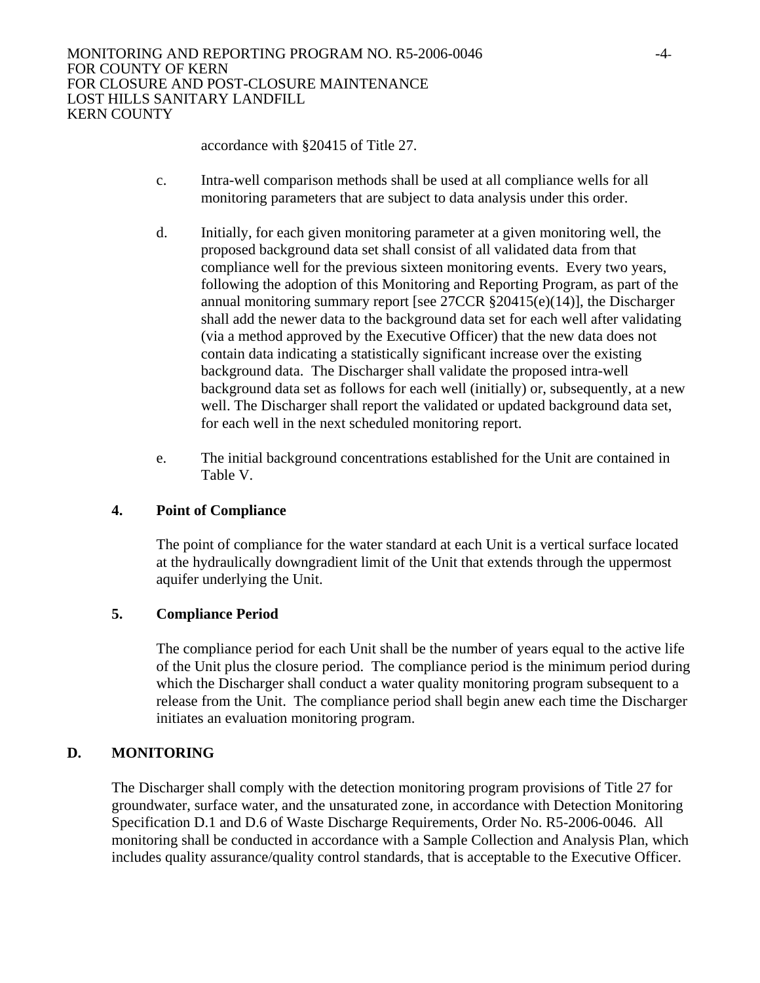accordance with §20415 of Title 27.

- c. Intra-well comparison methods shall be used at all compliance wells for all monitoring parameters that are subject to data analysis under this order.
- d. Initially, for each given monitoring parameter at a given monitoring well, the proposed background data set shall consist of all validated data from that compliance well for the previous sixteen monitoring events. Every two years, following the adoption of this Monitoring and Reporting Program, as part of the annual monitoring summary report [see 27CCR §20415(e)(14)], the Discharger shall add the newer data to the background data set for each well after validating (via a method approved by the Executive Officer) that the new data does not contain data indicating a statistically significant increase over the existing background data. The Discharger shall validate the proposed intra-well background data set as follows for each well (initially) or, subsequently, at a new well. The Discharger shall report the validated or updated background data set, for each well in the next scheduled monitoring report.
- e. The initial background concentrations established for the Unit are contained in Table V.

# **4. Point of Compliance**

 The point of compliance for the water standard at each Unit is a vertical surface located at the hydraulically downgradient limit of the Unit that extends through the uppermost aquifer underlying the Unit.

# **5. Compliance Period**

 The compliance period for each Unit shall be the number of years equal to the active life of the Unit plus the closure period. The compliance period is the minimum period during which the Discharger shall conduct a water quality monitoring program subsequent to a release from the Unit. The compliance period shall begin anew each time the Discharger initiates an evaluation monitoring program.

# **D. MONITORING**

The Discharger shall comply with the detection monitoring program provisions of Title 27 for groundwater, surface water, and the unsaturated zone, in accordance with Detection Monitoring Specification D.1 and D.6 of Waste Discharge Requirements, Order No. R5-2006-0046. All monitoring shall be conducted in accordance with a Sample Collection and Analysis Plan, which includes quality assurance/quality control standards, that is acceptable to the Executive Officer.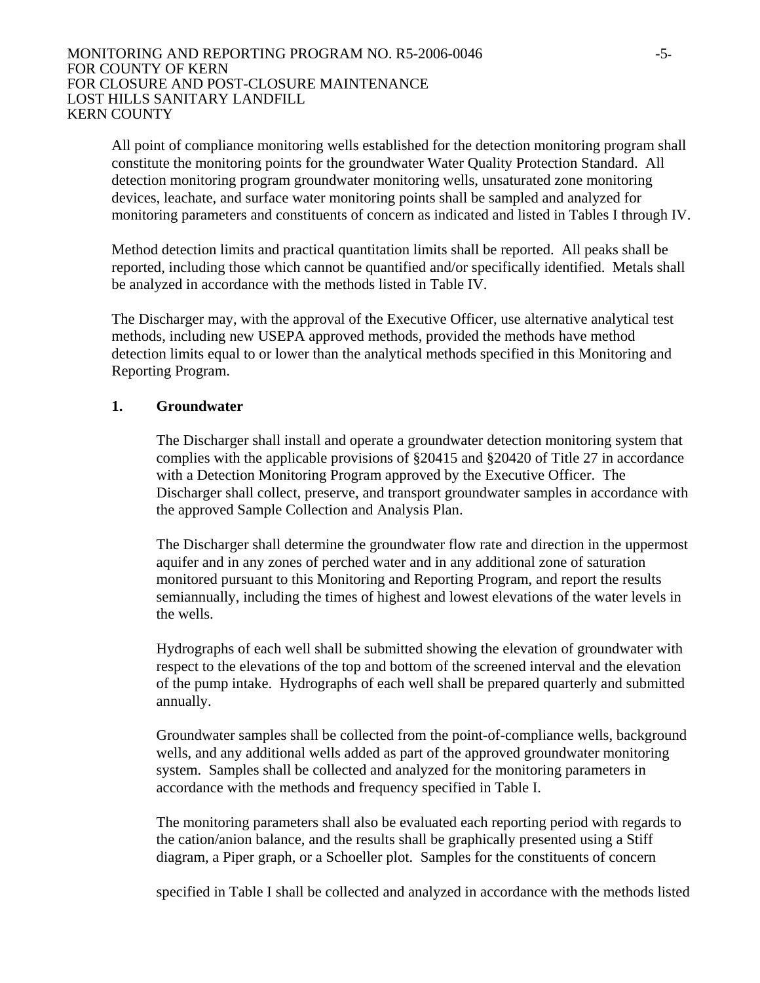All point of compliance monitoring wells established for the detection monitoring program shall constitute the monitoring points for the groundwater Water Quality Protection Standard. All detection monitoring program groundwater monitoring wells, unsaturated zone monitoring devices, leachate, and surface water monitoring points shall be sampled and analyzed for monitoring parameters and constituents of concern as indicated and listed in Tables I through IV.

Method detection limits and practical quantitation limits shall be reported. All peaks shall be reported, including those which cannot be quantified and/or specifically identified. Metals shall be analyzed in accordance with the methods listed in Table IV.

The Discharger may, with the approval of the Executive Officer, use alternative analytical test methods, including new USEPA approved methods, provided the methods have method detection limits equal to or lower than the analytical methods specified in this Monitoring and Reporting Program.

## **1. Groundwater**

The Discharger shall install and operate a groundwater detection monitoring system that complies with the applicable provisions of §20415 and §20420 of Title 27 in accordance with a Detection Monitoring Program approved by the Executive Officer. The Discharger shall collect, preserve, and transport groundwater samples in accordance with the approved Sample Collection and Analysis Plan.

The Discharger shall determine the groundwater flow rate and direction in the uppermost aquifer and in any zones of perched water and in any additional zone of saturation monitored pursuant to this Monitoring and Reporting Program, and report the results semiannually, including the times of highest and lowest elevations of the water levels in the wells.

Hydrographs of each well shall be submitted showing the elevation of groundwater with respect to the elevations of the top and bottom of the screened interval and the elevation of the pump intake. Hydrographs of each well shall be prepared quarterly and submitted annually.

Groundwater samples shall be collected from the point-of-compliance wells, background wells, and any additional wells added as part of the approved groundwater monitoring system. Samples shall be collected and analyzed for the monitoring parameters in accordance with the methods and frequency specified in Table I.

The monitoring parameters shall also be evaluated each reporting period with regards to the cation/anion balance, and the results shall be graphically presented using a Stiff diagram, a Piper graph, or a Schoeller plot. Samples for the constituents of concern

specified in Table I shall be collected and analyzed in accordance with the methods listed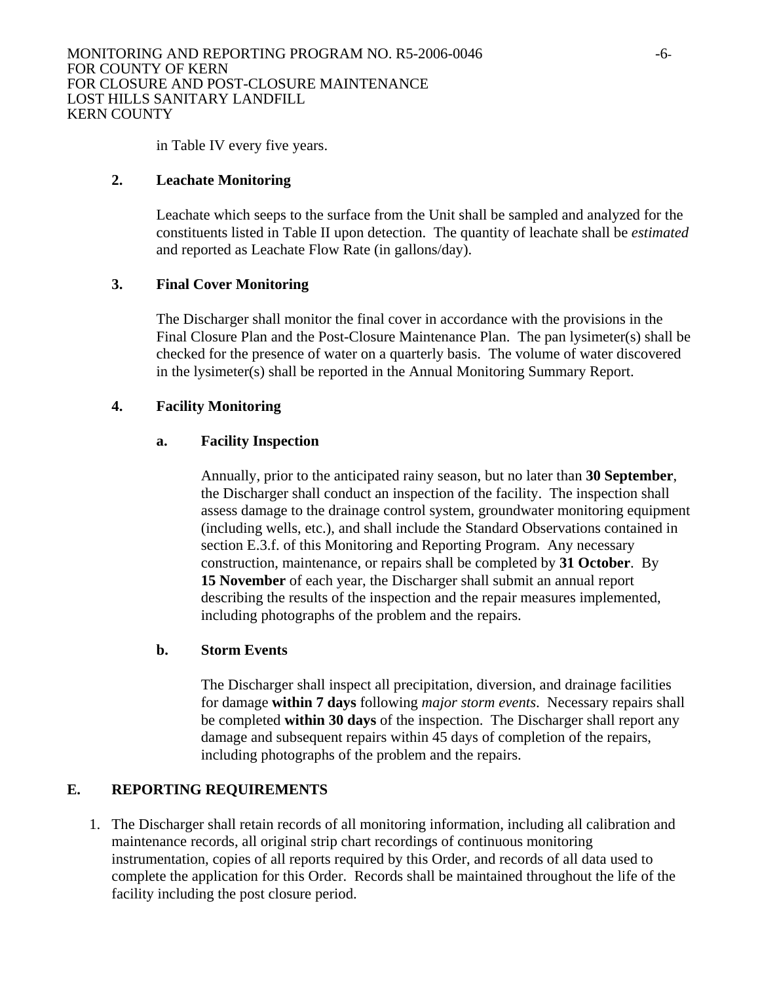in Table IV every five years.

## **2. Leachate Monitoring**

Leachate which seeps to the surface from the Unit shall be sampled and analyzed for the constituents listed in Table II upon detection. The quantity of leachate shall be *estimated* and reported as Leachate Flow Rate (in gallons/day).

## **3. Final Cover Monitoring**

The Discharger shall monitor the final cover in accordance with the provisions in the Final Closure Plan and the Post-Closure Maintenance Plan. The pan lysimeter(s) shall be checked for the presence of water on a quarterly basis. The volume of water discovered in the lysimeter(s) shall be reported in the Annual Monitoring Summary Report.

## **4. Facility Monitoring**

## **a. Facility Inspection**

Annually, prior to the anticipated rainy season, but no later than **30 September**, the Discharger shall conduct an inspection of the facility. The inspection shall assess damage to the drainage control system, groundwater monitoring equipment (including wells, etc.), and shall include the Standard Observations contained in section E.3.f. of this Monitoring and Reporting Program. Any necessary construction, maintenance, or repairs shall be completed by **31 October**. By **15 November** of each year, the Discharger shall submit an annual report describing the results of the inspection and the repair measures implemented, including photographs of the problem and the repairs.

## **b. Storm Events**

The Discharger shall inspect all precipitation, diversion, and drainage facilities for damage **within 7 days** following *major storm events*. Necessary repairs shall be completed **within 30 days** of the inspection. The Discharger shall report any damage and subsequent repairs within 45 days of completion of the repairs, including photographs of the problem and the repairs.

# **E. REPORTING REQUIREMENTS**

1. The Discharger shall retain records of all monitoring information, including all calibration and maintenance records, all original strip chart recordings of continuous monitoring instrumentation, copies of all reports required by this Order, and records of all data used to complete the application for this Order. Records shall be maintained throughout the life of the facility including the post closure period.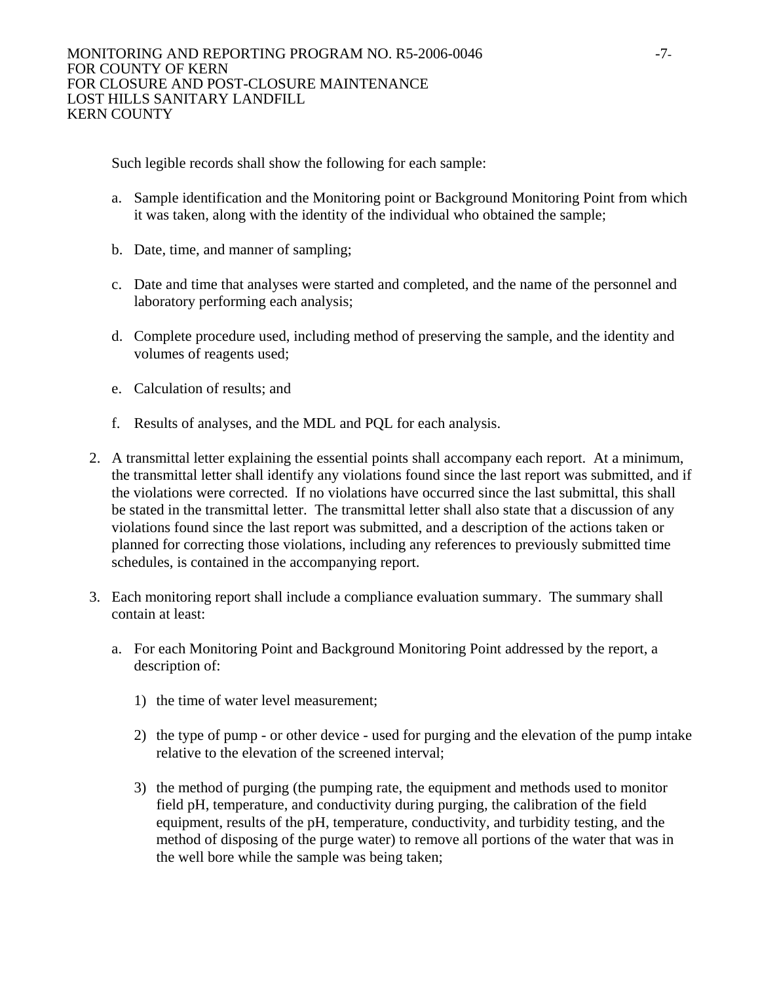Such legible records shall show the following for each sample:

- a. Sample identification and the Monitoring point or Background Monitoring Point from which it was taken, along with the identity of the individual who obtained the sample;
- b. Date, time, and manner of sampling;
- c. Date and time that analyses were started and completed, and the name of the personnel and laboratory performing each analysis;
- d. Complete procedure used, including method of preserving the sample, and the identity and volumes of reagents used;
- e. Calculation of results; and
- f. Results of analyses, and the MDL and PQL for each analysis.
- 2. A transmittal letter explaining the essential points shall accompany each report. At a minimum, the transmittal letter shall identify any violations found since the last report was submitted, and if the violations were corrected. If no violations have occurred since the last submittal, this shall be stated in the transmittal letter. The transmittal letter shall also state that a discussion of any violations found since the last report was submitted, and a description of the actions taken or planned for correcting those violations, including any references to previously submitted time schedules, is contained in the accompanying report.
- 3. Each monitoring report shall include a compliance evaluation summary. The summary shall contain at least:
	- a. For each Monitoring Point and Background Monitoring Point addressed by the report, a description of:
		- 1) the time of water level measurement;
		- 2) the type of pump or other device used for purging and the elevation of the pump intake relative to the elevation of the screened interval;
		- 3) the method of purging (the pumping rate, the equipment and methods used to monitor field pH, temperature, and conductivity during purging, the calibration of the field equipment, results of the pH, temperature, conductivity, and turbidity testing, and the method of disposing of the purge water) to remove all portions of the water that was in the well bore while the sample was being taken;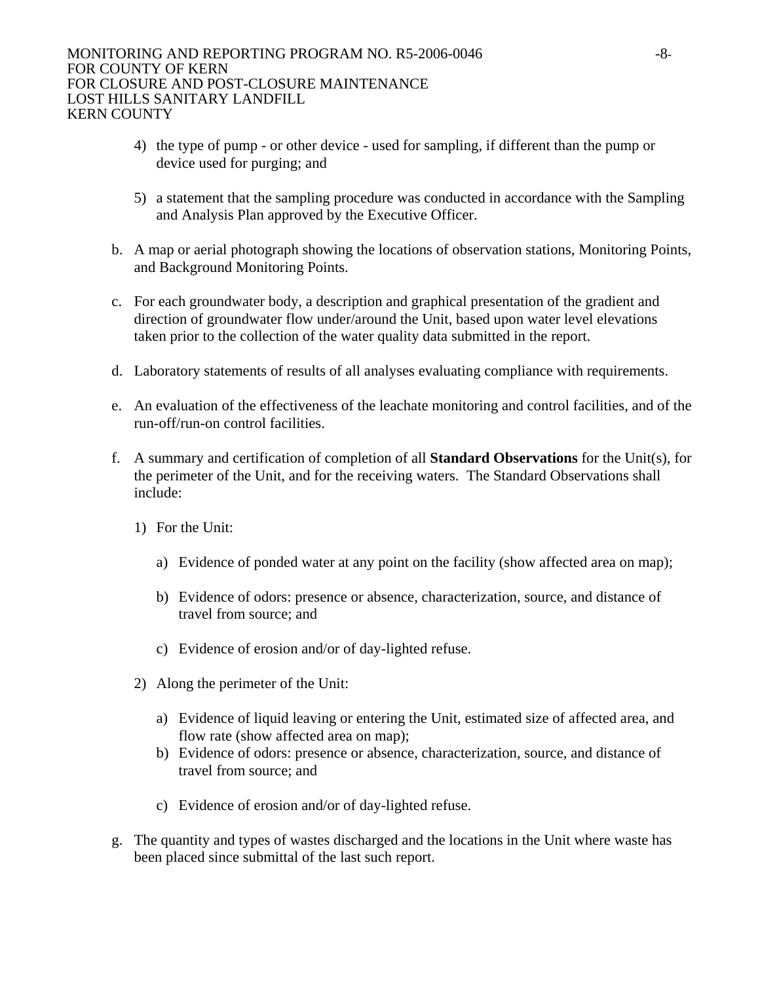- 4) the type of pump or other device used for sampling, if different than the pump or device used for purging; and
- 5) a statement that the sampling procedure was conducted in accordance with the Sampling and Analysis Plan approved by the Executive Officer.
- b. A map or aerial photograph showing the locations of observation stations, Monitoring Points, and Background Monitoring Points.
- c. For each groundwater body, a description and graphical presentation of the gradient and direction of groundwater flow under/around the Unit, based upon water level elevations taken prior to the collection of the water quality data submitted in the report.
- d. Laboratory statements of results of all analyses evaluating compliance with requirements.
- e. An evaluation of the effectiveness of the leachate monitoring and control facilities, and of the run-off/run-on control facilities.
- f. A summary and certification of completion of all **Standard Observations** for the Unit(s), for the perimeter of the Unit, and for the receiving waters. The Standard Observations shall include:
	- 1) For the Unit:
		- a) Evidence of ponded water at any point on the facility (show affected area on map);
		- b) Evidence of odors: presence or absence, characterization, source, and distance of travel from source; and
		- c) Evidence of erosion and/or of day-lighted refuse.
	- 2) Along the perimeter of the Unit:
		- a) Evidence of liquid leaving or entering the Unit, estimated size of affected area, and flow rate (show affected area on map);
		- b) Evidence of odors: presence or absence, characterization, source, and distance of travel from source; and
		- c) Evidence of erosion and/or of day-lighted refuse.
- g. The quantity and types of wastes discharged and the locations in the Unit where waste has been placed since submittal of the last such report.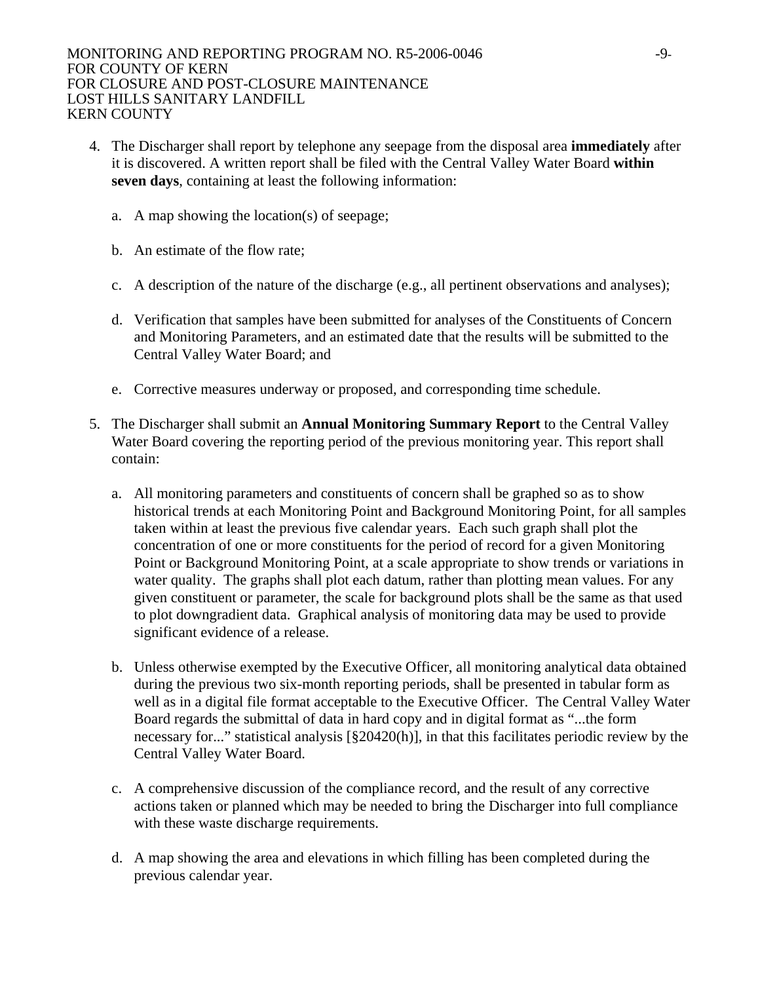- 4. The Discharger shall report by telephone any seepage from the disposal area **immediately** after it is discovered. A written report shall be filed with the Central Valley Water Board **within seven days**, containing at least the following information:
	- a. A map showing the location(s) of seepage;
	- b. An estimate of the flow rate;
	- c. A description of the nature of the discharge (e.g., all pertinent observations and analyses);
	- d. Verification that samples have been submitted for analyses of the Constituents of Concern and Monitoring Parameters, and an estimated date that the results will be submitted to the Central Valley Water Board; and
	- e. Corrective measures underway or proposed, and corresponding time schedule.
- 5. The Discharger shall submit an **Annual Monitoring Summary Report** to the Central Valley Water Board covering the reporting period of the previous monitoring year. This report shall contain:
	- a. All monitoring parameters and constituents of concern shall be graphed so as to show historical trends at each Monitoring Point and Background Monitoring Point, for all samples taken within at least the previous five calendar years. Each such graph shall plot the concentration of one or more constituents for the period of record for a given Monitoring Point or Background Monitoring Point, at a scale appropriate to show trends or variations in water quality. The graphs shall plot each datum, rather than plotting mean values. For any given constituent or parameter, the scale for background plots shall be the same as that used to plot downgradient data. Graphical analysis of monitoring data may be used to provide significant evidence of a release.
	- b. Unless otherwise exempted by the Executive Officer, all monitoring analytical data obtained during the previous two six-month reporting periods, shall be presented in tabular form as well as in a digital file format acceptable to the Executive Officer. The Central Valley Water Board regards the submittal of data in hard copy and in digital format as "...the form necessary for..." statistical analysis [§20420(h)], in that this facilitates periodic review by the Central Valley Water Board.
	- c. A comprehensive discussion of the compliance record, and the result of any corrective actions taken or planned which may be needed to bring the Discharger into full compliance with these waste discharge requirements.
	- d. A map showing the area and elevations in which filling has been completed during the previous calendar year.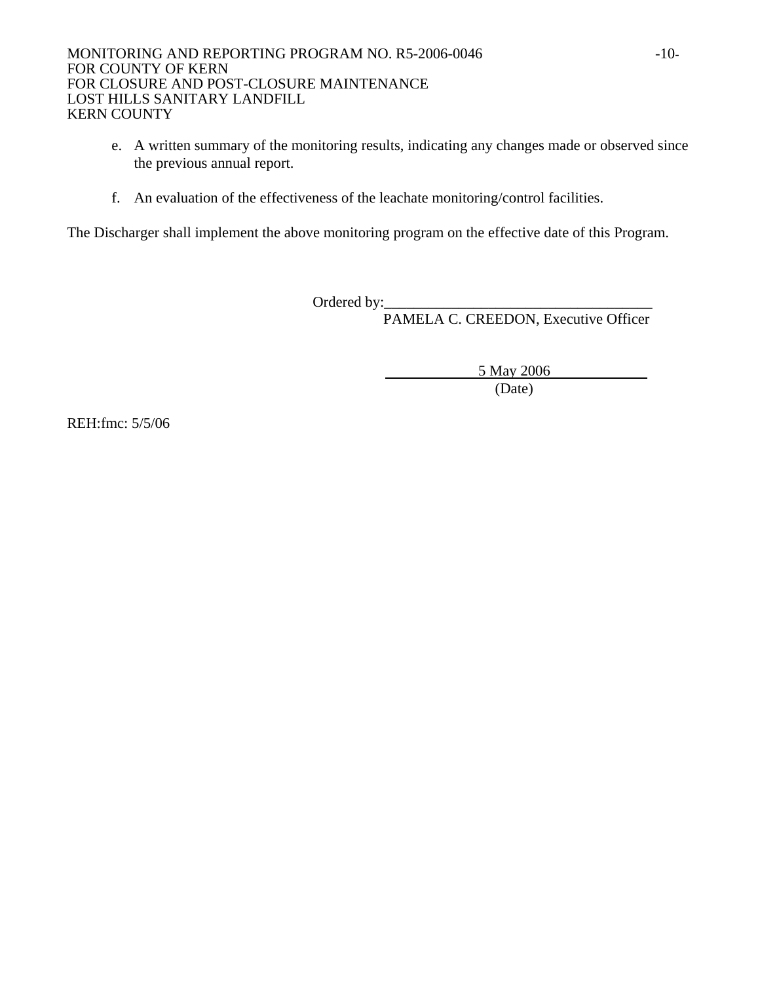- e. A written summary of the monitoring results, indicating any changes made or observed since the previous annual report.
- f. An evaluation of the effectiveness of the leachate monitoring/control facilities.

The Discharger shall implement the above monitoring program on the effective date of this Program.

Ordered by:\_\_\_\_\_\_\_\_\_\_\_\_\_\_\_\_\_\_\_\_\_\_\_\_\_\_\_\_\_\_\_\_\_\_\_\_

PAMELA C. CREEDON, Executive Officer

5 May 2006

(Date)

REH:fmc: 5/5/06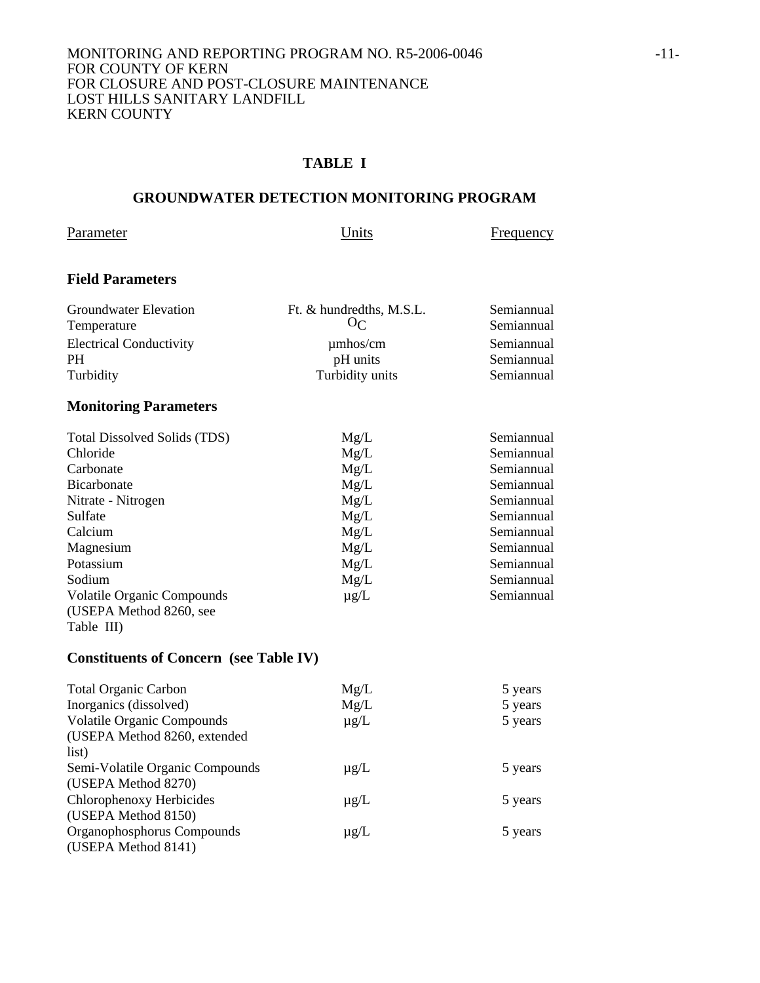#### MONITORING AND REPORTING PROGRAM NO. R5-2006-0046 -11-FOR COUNTY OF KERN FOR CLOSURE AND POST-CLOSURE MAINTENANCE LOST HILLS SANITARY LANDFILL KERN COUNTY

## **TABLE I**

## **GROUNDWATER DETECTION MONITORING PROGRAM**

Parameter Units Frequency

## **Field Parameters**

| Groundwater Elevation<br>Temperature | Ft. & hundredths, M.S.L.<br>$O_{\mathcal{C}}$ | Semiannual<br>Semiannual |
|--------------------------------------|-----------------------------------------------|--------------------------|
| <b>Electrical Conductivity</b>       | $\mu$ mhos/cm                                 | Semiannual               |
| <b>PH</b>                            | pH units                                      | Semiannual               |
| Turbidity                            | Turbidity units                               | Semiannual               |
|                                      |                                               |                          |

# **Monitoring Parameters**

| Total Dissolved Solids (TDS)      | Mg/L      | Semiannual |
|-----------------------------------|-----------|------------|
|                                   |           |            |
| Chloride                          | Mg/L      | Semiannual |
| Carbonate                         | Mg/L      | Semiannual |
| <b>Bicarbonate</b>                | Mg/L      | Semiannual |
| Nitrate - Nitrogen                | Mg/L      | Semiannual |
| Sulfate                           | Mg/L      | Semiannual |
| Calcium                           | Mg/L      | Semiannual |
| Magnesium                         | Mg/L      | Semiannual |
| Potassium                         | Mg/L      | Semiannual |
| Sodium                            | Mg/L      | Semiannual |
| <b>Volatile Organic Compounds</b> | $\mu$ g/L | Semiannual |
| (USEPA Method 8260, see           |           |            |
| Table III)                        |           |            |

# **Constituents of Concern (see Table IV)**

| <b>Total Organic Carbon</b>       | Mg/L      | 5 years |
|-----------------------------------|-----------|---------|
| Inorganics (dissolved)            | Mg/L      | 5 years |
| <b>Volatile Organic Compounds</b> | $\mu$ g/L | 5 years |
| (USEPA Method 8260, extended      |           |         |
| list)                             |           |         |
| Semi-Volatile Organic Compounds   | $\mu$ g/L | 5 years |
| (USEPA Method 8270)               |           |         |
| Chlorophenoxy Herbicides          | $\mu$ g/L | 5 years |
| (USEPA Method 8150)               |           |         |
| Organophosphorus Compounds        | $\mu$ g/L | 5 years |
| (USEPA Method 8141)               |           |         |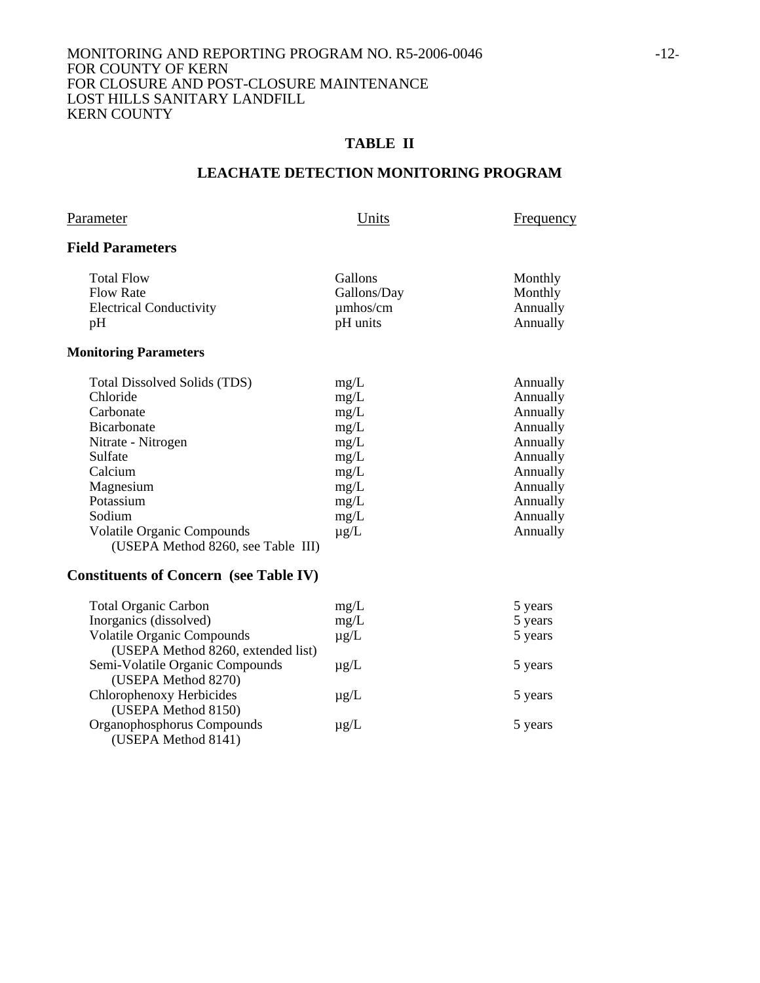#### MONITORING AND REPORTING PROGRAM NO. R5-2006-0046 -12-FOR COUNTY OF KERN FOR CLOSURE AND POST-CLOSURE MAINTENANCE LOST HILLS SANITARY LANDFILL KERN COUNTY

## **TABLE II**

## **LEACHATE DETECTION MONITORING PROGRAM**

| Parameter |  |
|-----------|--|
|-----------|--|

Units Frequency

## **Field Parameters**

| <b>Total Flow</b>              | <b>Gallons</b> | Monthly  |
|--------------------------------|----------------|----------|
| <b>Flow Rate</b>               | Gallons/Day    | Monthly  |
| <b>Electrical Conductivity</b> | $\mu$ mhos/cm  | Annually |
| pΗ                             | pH units       | Annually |
|                                |                |          |

#### **Monitoring Parameters**

| <b>Total Dissolved Solids (TDS)</b> | mg/L      | Annually |
|-------------------------------------|-----------|----------|
| Chloride                            | mg/L      | Annually |
| Carbonate                           | mg/L      | Annually |
| <b>Bicarbonate</b>                  | mg/L      | Annually |
| Nitrate - Nitrogen                  | mg/L      | Annually |
| Sulfate                             | mg/L      | Annually |
| Calcium                             | mg/L      | Annually |
| Magnesium                           | mg/L      | Annually |
| Potassium                           | mg/L      | Annually |
| Sodium                              | mg/L      | Annually |
| <b>Volatile Organic Compounds</b>   | $\mu$ g/L | Annually |
| (USEPA Method 8260, see Table III)  |           |          |

## **Constituents of Concern (see Table IV)**

| <b>Total Organic Carbon</b>        | mg/L      | 5 years |
|------------------------------------|-----------|---------|
| Inorganics (dissolved)             | mg/L      | 5 years |
| <b>Volatile Organic Compounds</b>  | $\mu$ g/L | 5 years |
| (USEPA Method 8260, extended list) |           |         |
| Semi-Volatile Organic Compounds    | $\mu$ g/L | 5 years |
| (USEPA Method 8270)                |           |         |
| Chlorophenoxy Herbicides           | $\mu$ g/L | 5 years |
| (USEPA Method 8150)                |           |         |
| Organophosphorus Compounds         | $\mu$ g/L | 5 years |
| (USEPA Method 8141)                |           |         |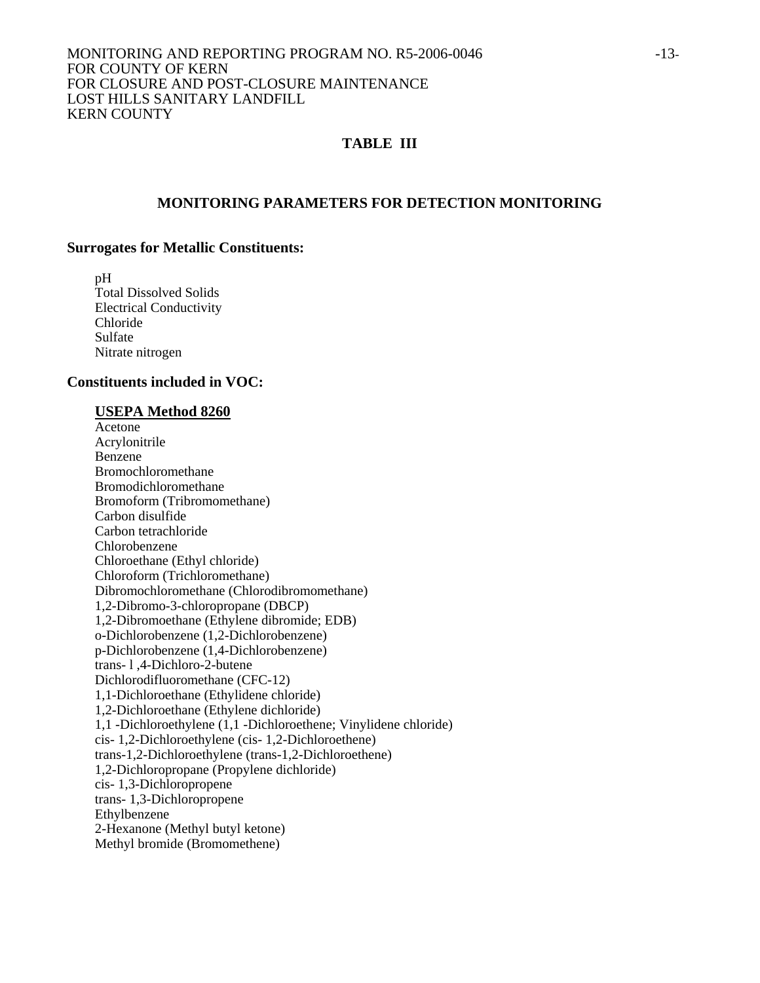#### MONITORING AND REPORTING PROGRAM NO. R5-2006-0046  $-13$ -FOR COUNTY OF KERN FOR CLOSURE AND POST-CLOSURE MAINTENANCE LOST HILLS SANITARY LANDFILL KERN COUNTY

## **TABLE III**

#### **MONITORING PARAMETERS FOR DETECTION MONITORING**

#### **Surrogates for Metallic Constituents:**

 pH Total Dissolved Solids Electrical Conductivity Chloride Sulfate Nitrate nitrogen

#### **Constituents included in VOC:**

#### **USEPA Method 8260**

 Acetone Acrylonitrile Benzene Bromochloromethane Bromodichloromethane Bromoform (Tribromomethane) Carbon disulfide Carbon tetrachloride Chlorobenzene Chloroethane (Ethyl chloride) Chloroform (Trichloromethane) Dibromochloromethane (Chlorodibromomethane) 1,2-Dibromo-3-chloropropane (DBCP) 1,2-Dibromoethane (Ethylene dibromide; EDB) o-Dichlorobenzene (1,2-Dichlorobenzene) p-Dichlorobenzene (1,4-Dichlorobenzene) trans- l ,4-Dichloro-2-butene Dichlorodifluoromethane (CFC-12) 1,1-Dichloroethane (Ethylidene chloride) 1,2-Dichloroethane (Ethylene dichloride) 1,1 -Dichloroethylene (1,1 -Dichloroethene; Vinylidene chloride) cis- 1,2-Dichloroethylene (cis- 1,2-Dichloroethene) trans-1,2-Dichloroethylene (trans-1,2-Dichloroethene) 1,2-Dichloropropane (Propylene dichloride) cis- 1,3-Dichloropropene trans- 1,3-Dichloropropene Ethylbenzene 2-Hexanone (Methyl butyl ketone) Methyl bromide (Bromomethene)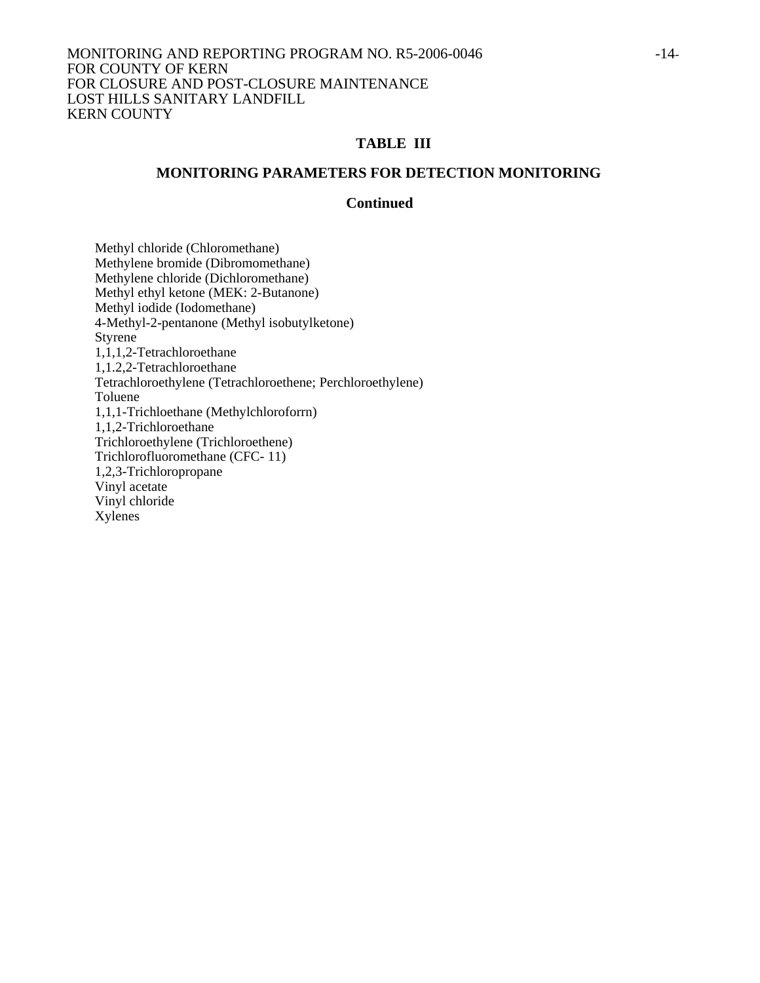#### MONITORING AND REPORTING PROGRAM NO. R5-2006-0046 -14- FOR COUNTY OF KERN FOR CLOSURE AND POST-CLOSURE MAINTENANCE LOST HILLS SANITARY LANDFILL KERN COUNTY

## **TABLE III**

#### **MONITORING PARAMETERS FOR DETECTION MONITORING**

## **Continued**

 Methyl chloride (Chloromethane) Methylene bromide (Dibromomethane) Methylene chloride (Dichloromethane) Methyl ethyl ketone (MEK: 2-Butanone) Methyl iodide (Iodomethane) 4-Methyl-2-pentanone (Methyl isobutylketone) **Styrene**  1,1,1,2-Tetrachloroethane 1,1.2,2-Tetrachloroethane Tetrachloroethylene (Tetrachloroethene; Perchloroethylene) Toluene 1,1,1-Trichloethane (Methylchloroforrn) 1,1,2-Trichloroethane Trichloroethylene (Trichloroethene) Trichlorofluoromethane (CFC- 11) 1,2,3-Trichloropropane Vinyl acetate Vinyl chloride Xylenes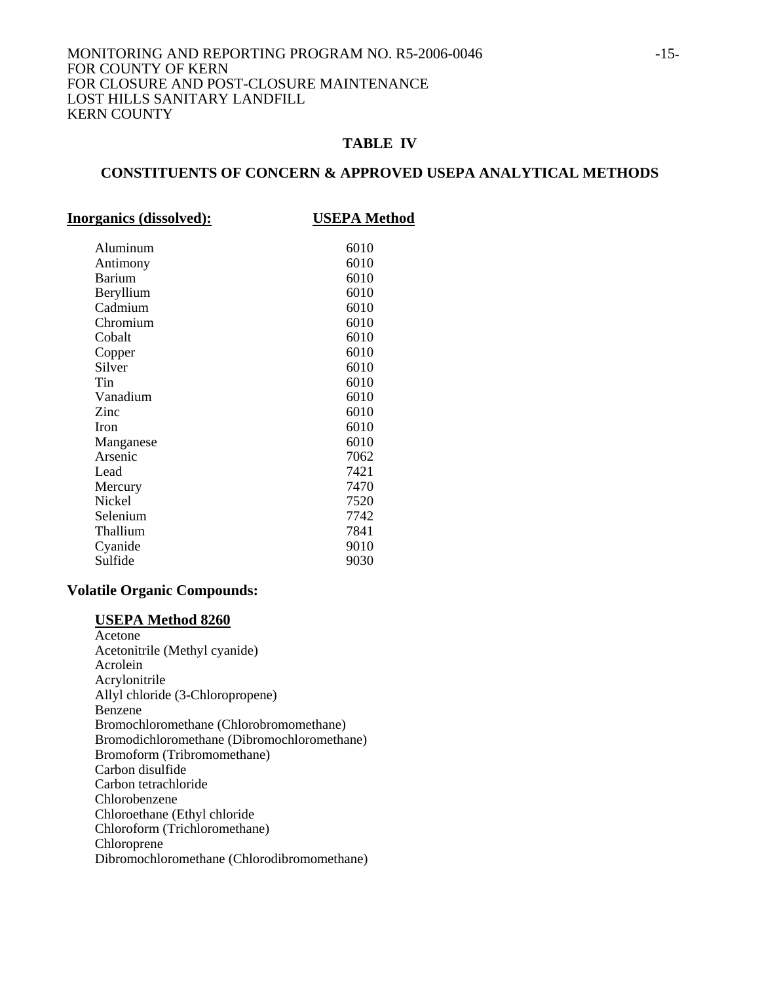#### MONITORING AND REPORTING PROGRAM NO. R5-2006-0046 -15-FOR COUNTY OF KERN FOR CLOSURE AND POST-CLOSURE MAINTENANCE LOST HILLS SANITARY LANDFILL KERN COUNTY

## **TABLE IV**

## **CONSTITUENTS OF CONCERN & APPROVED USEPA ANALYTICAL METHODS**

| <b>Inorganics (dissolved):</b> | <b>USEPA Method</b> |
|--------------------------------|---------------------|
| Aluminum                       | 6010                |
| Antimony                       | 6010                |
| <b>Barium</b>                  | 6010                |
| Beryllium                      | 6010                |
| Cadmium                        | 6010                |
| Chromium                       | 6010                |
| Cobalt                         | 6010                |
| Copper                         | 6010                |
| Silver                         | 6010                |
| Tin                            | 6010                |
| Vanadium                       | 6010                |
| Zinc                           | 6010                |
| <b>Iron</b>                    | 6010                |
| Manganese                      | 6010                |
| Arsenic                        | 7062                |
| Lead                           | 7421                |
| Mercury                        | 7470                |
| <b>Nickel</b>                  | 7520                |
| Selenium                       | 7742                |
| Thallium                       | 7841                |
| Cyanide                        | 9010                |
| Sulfide                        | 9030                |

## **Volatile Organic Compounds:**

#### **USEPA Method 8260**

 Acetone Acetonitrile (Methyl cyanide) Acrolein Acrylonitrile Allyl chloride (3-Chloropropene) Benzene Bromochloromethane (Chlorobromomethane) Bromodichloromethane (Dibromochloromethane) Bromoform (Tribromomethane) Carbon disulfide Carbon tetrachloride Chlorobenzene Chloroethane (Ethyl chloride Chloroform (Trichloromethane) Chloroprene Dibromochloromethane (Chlorodibromomethane)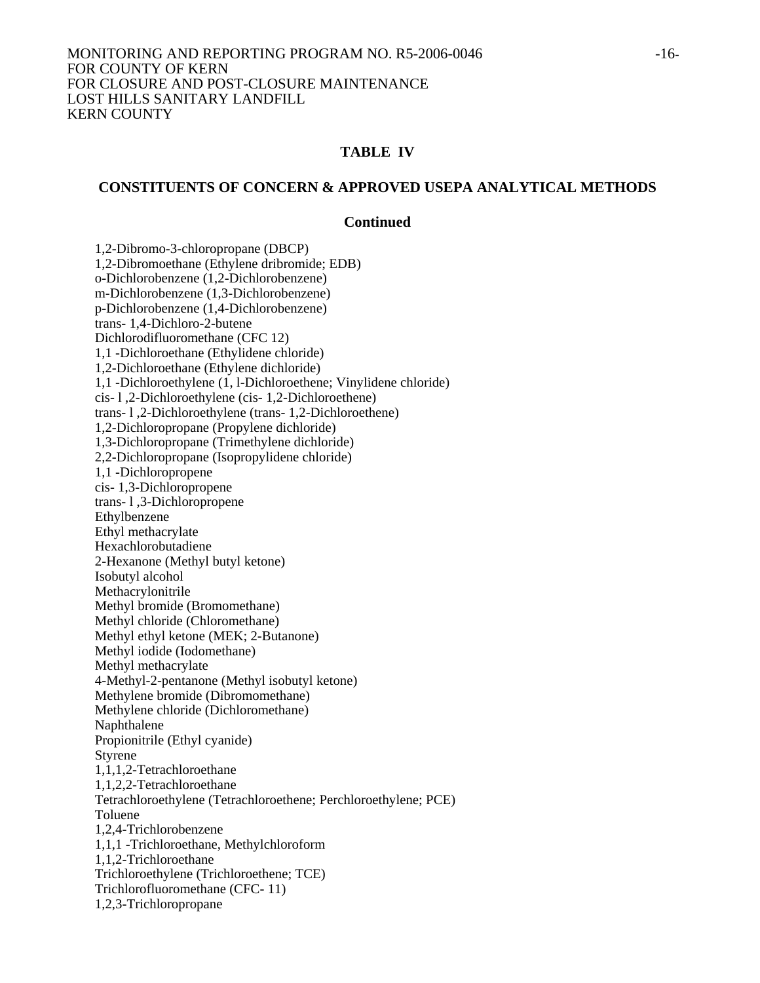#### **CONSTITUENTS OF CONCERN & APPROVED USEPA ANALYTICAL METHODS**

#### **Continued**

 1,2-Dibromo-3-chloropropane (DBCP) 1,2-Dibromoethane (Ethylene dribromide; EDB) o-Dichlorobenzene (1,2-Dichlorobenzene) m-Dichlorobenzene (1,3-Dichlorobenzene) p-Dichlorobenzene (1,4-Dichlorobenzene) trans- 1,4-Dichloro-2-butene Dichlorodifluoromethane (CFC 12) 1,1 -Dichloroethane (Ethylidene chloride) 1,2-Dichloroethane (Ethylene dichloride) 1,1 -Dichloroethylene (1, l-Dichloroethene; Vinylidene chloride) cis- l ,2-Dichloroethylene (cis- 1,2-Dichloroethene) trans- l ,2-Dichloroethylene (trans- 1,2-Dichloroethene) 1,2-Dichloropropane (Propylene dichloride) 1,3-Dichloropropane (Trimethylene dichloride) 2,2-Dichloropropane (Isopropylidene chloride) 1,1 -Dichloropropene cis- 1,3-Dichloropropene trans- l ,3-Dichloropropene Ethylbenzene Ethyl methacrylate Hexachlorobutadiene 2-Hexanone (Methyl butyl ketone) Isobutyl alcohol Methacrylonitrile Methyl bromide (Bromomethane) Methyl chloride (Chloromethane) Methyl ethyl ketone (MEK; 2-Butanone) Methyl iodide (Iodomethane) Methyl methacrylate 4-Methyl-2-pentanone (Methyl isobutyl ketone) Methylene bromide (Dibromomethane) Methylene chloride (Dichloromethane) Naphthalene Propionitrile (Ethyl cyanide) Styrene 1,1,1,2-Tetrachloroethane 1,1,2,2-Tetrachloroethane Tetrachloroethylene (Tetrachloroethene; Perchloroethylene; PCE) Toluene 1,2,4-Trichlorobenzene 1,1,1 -Trichloroethane, Methylchloroform 1,1,2-Trichloroethane Trichloroethylene (Trichloroethene; TCE) Trichlorofluoromethane (CFC- 11) 1,2,3-Trichloropropane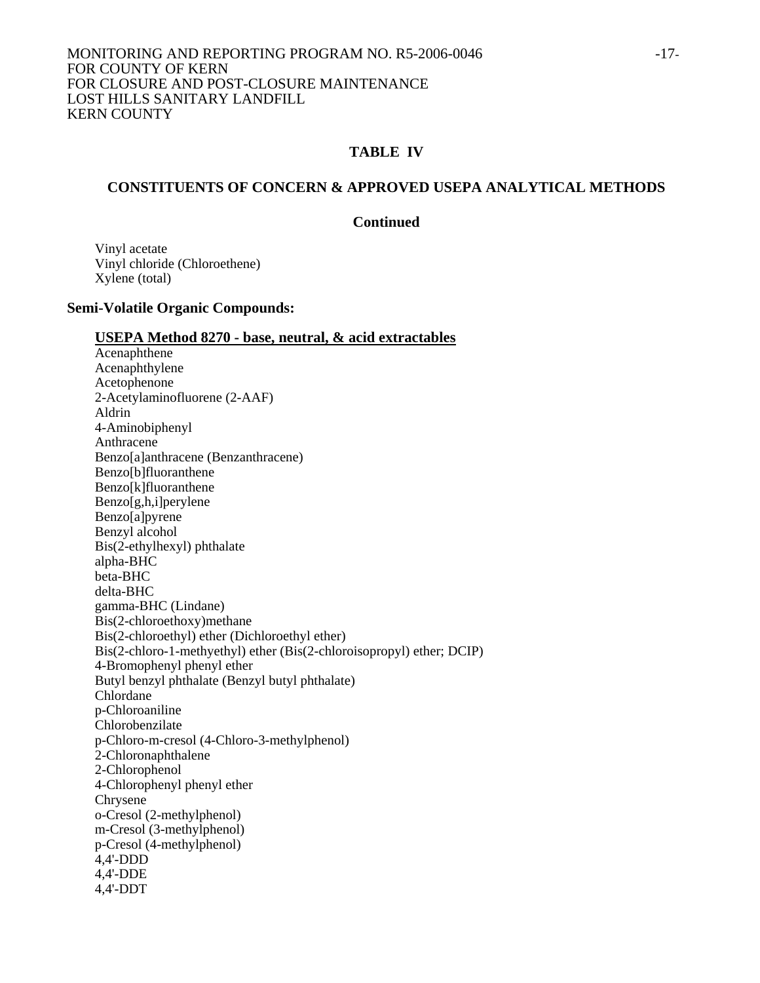#### **CONSTITUENTS OF CONCERN & APPROVED USEPA ANALYTICAL METHODS**

## **Continued**

Vinyl acetate Vinyl chloride (Chloroethene) Xylene (total)

## **Semi-Volatile Organic Compounds:**

#### **USEPA Method 8270 - base, neutral, & acid extractables**

 Acenaphthene Acenaphthylene Acetophenone 2-Acetylaminofluorene (2-AAF) Aldrin 4-Aminobiphenyl Anthracene Benzo[a]anthracene (Benzanthracene) Benzo[b]fluoranthene Benzo[k]fluoranthene Benzo[g,h,i]perylene Benzo[a]pyrene Benzyl alcohol Bis(2-ethylhexyl) phthalate alpha-BHC beta-BHC delta-BHC gamma-BHC (Lindane) Bis(2-chloroethoxy)methane Bis(2-chloroethyl) ether (Dichloroethyl ether) Bis(2-chloro-1-methyethyl) ether (Bis(2-chloroisopropyl) ether; DCIP) 4-Bromophenyl phenyl ether Butyl benzyl phthalate (Benzyl butyl phthalate) Chlordane p-Chloroaniline Chlorobenzilate p-Chloro-m-cresol (4-Chloro-3-methylphenol) 2-Chloronaphthalene 2-Chlorophenol 4-Chlorophenyl phenyl ether Chrysene o-Cresol (2-methylphenol) m-Cresol (3-methylphenol) p-Cresol (4-methylphenol) 4,4'-DDD 4,4'-DDE 4,4'-DDT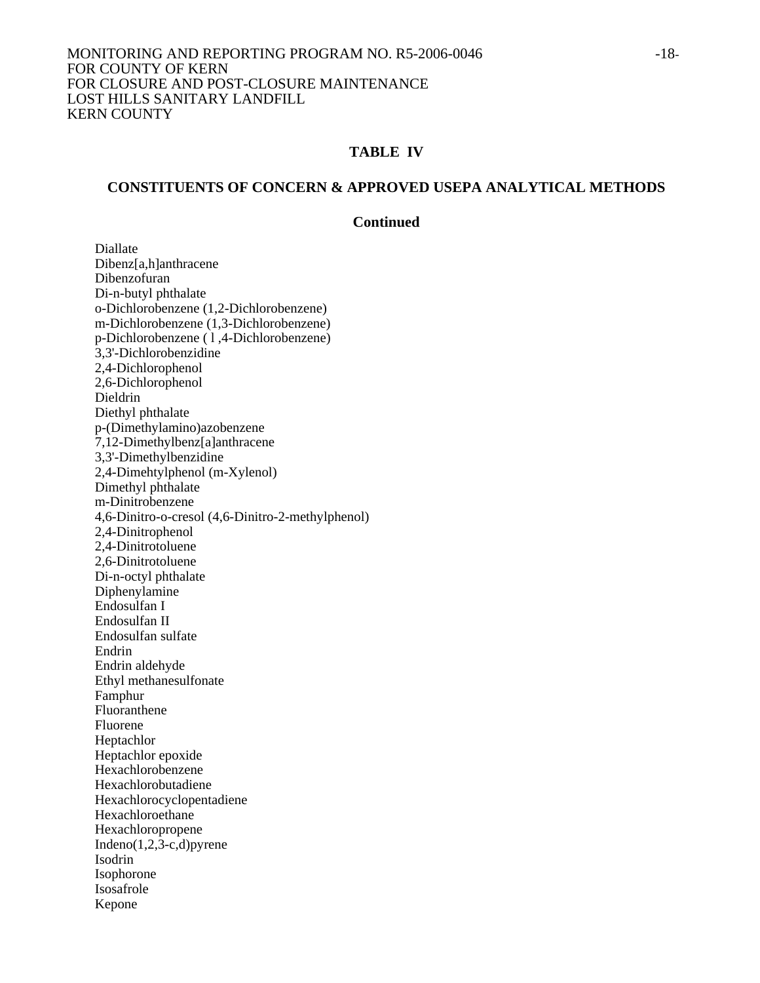#### **CONSTITUENTS OF CONCERN & APPROVED USEPA ANALYTICAL METHODS**

#### **Continued**

 Diallate Dibenz[a,h]anthracene Dibenzofuran Di-n-butyl phthalate o-Dichlorobenzene (1,2-Dichlorobenzene) m-Dichlorobenzene (1,3-Dichlorobenzene) p-Dichlorobenzene ( l ,4-Dichlorobenzene) 3,3'-Dichlorobenzidine 2,4-Dichlorophenol 2,6-Dichlorophenol Dieldrin Diethyl phthalate p-(Dimethylamino)azobenzene 7,12-Dimethylbenz[a]anthracene 3,3'-Dimethylbenzidine 2,4-Dimehtylphenol (m-Xylenol) Dimethyl phthalate m-Dinitrobenzene 4,6-Dinitro-o-cresol (4,6-Dinitro-2-methylphenol) 2,4-Dinitrophenol 2,4-Dinitrotoluene 2,6-Dinitrotoluene Di-n-octyl phthalate Diphenylamine Endosulfan I Endosulfan II Endosulfan sulfate Endrin Endrin aldehyde Ethyl methanesulfonate Famphur Fluoranthene Fluorene Heptachlor Heptachlor epoxide Hexachlorobenzene Hexachlorobutadiene Hexachlorocyclopentadiene Hexachloroethane Hexachloropropene Indeno $(1,2,3-c,d)$ pyrene Isodrin Isophorone Isosafrole Kepone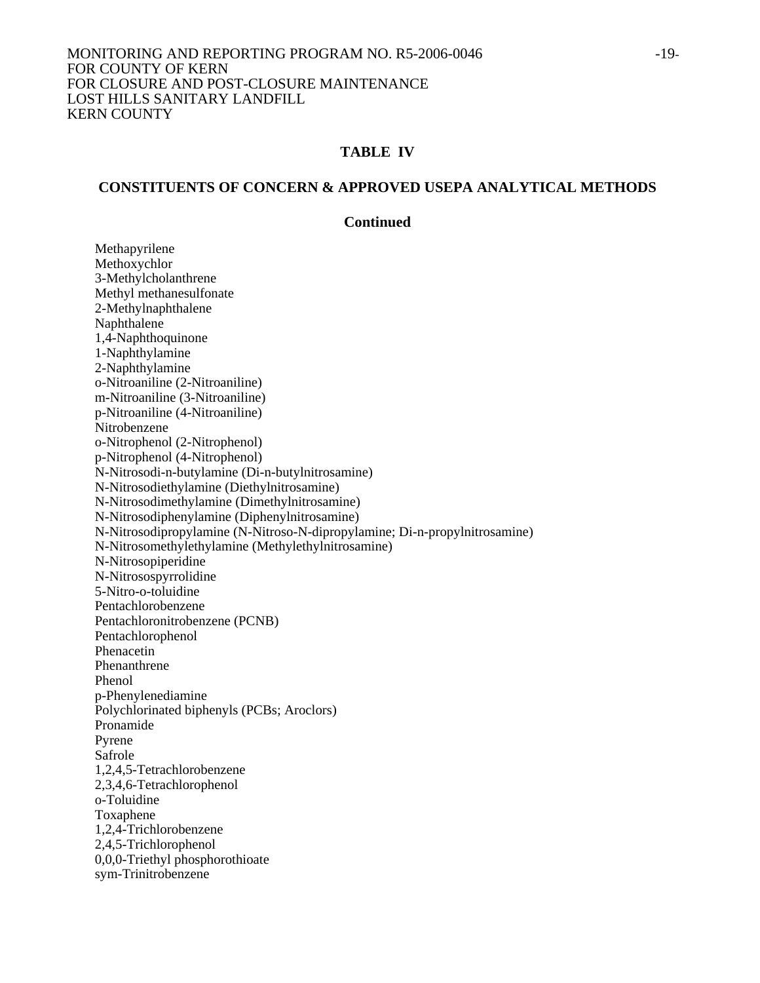## **CONSTITUENTS OF CONCERN & APPROVED USEPA ANALYTICAL METHODS**

## **Continued**

 Methapyrilene Methoxychlor 3-Methylcholanthrene Methyl methanesulfonate 2-Methylnaphthalene Naphthalene 1,4-Naphthoquinone 1-Naphthylamine 2-Naphthylamine o-Nitroaniline (2-Nitroaniline) m-Nitroaniline (3-Nitroaniline) p-Nitroaniline (4-Nitroaniline) Nitrobenzene o-Nitrophenol (2-Nitrophenol) p-Nitrophenol (4-Nitrophenol) N-Nitrosodi-n-butylamine (Di-n-butylnitrosamine) N-Nitrosodiethylamine (Diethylnitrosamine) N-Nitrosodimethylamine (Dimethylnitrosamine) N-Nitrosodiphenylamine (Diphenylnitrosamine) N-Nitrosodipropylamine (N-Nitroso-N-dipropylamine; Di-n-propylnitrosamine) N-Nitrosomethylethylamine (Methylethylnitrosamine) N-Nitrosopiperidine N-Nitrosospyrrolidine 5-Nitro-o-toluidine Pentachlorobenzene Pentachloronitrobenzene (PCNB) Pentachlorophenol Phenacetin Phenanthrene Phenol p-Phenylenediamine Polychlorinated biphenyls (PCBs; Aroclors) Pronamide Pyrene Safrole 1,2,4,5-Tetrachlorobenzene 2,3,4,6-Tetrachlorophenol o-Toluidine Toxaphene 1,2,4-Trichlorobenzene 2,4,5-Trichlorophenol 0,0,0-Triethyl phosphorothioate sym-Trinitrobenzene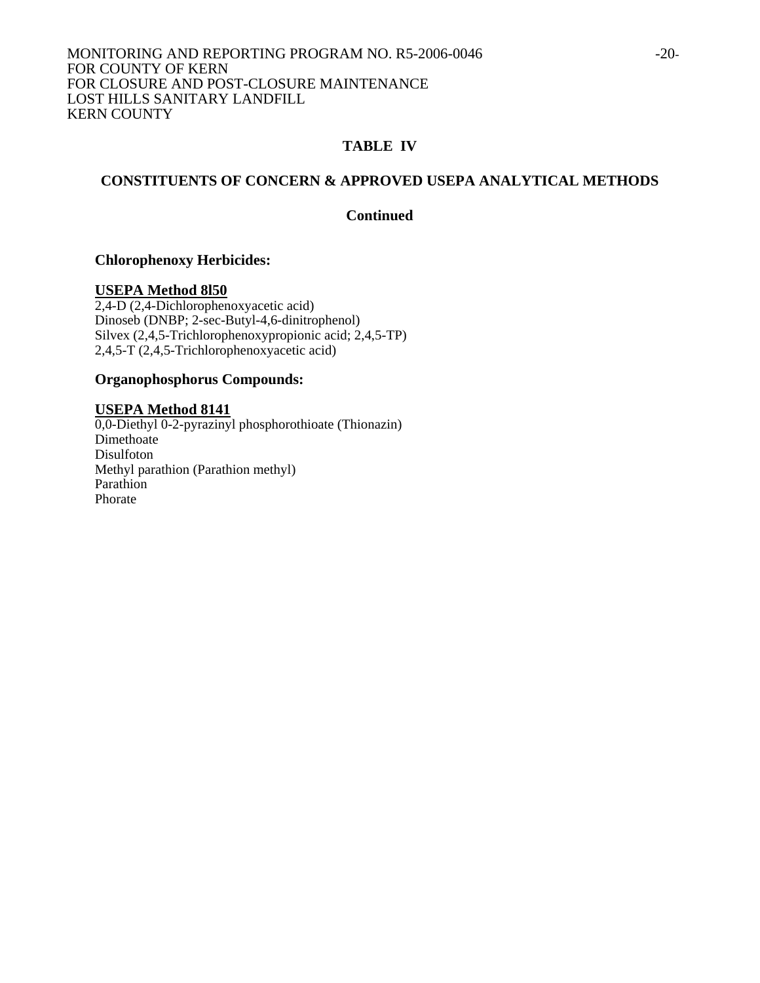## **CONSTITUENTS OF CONCERN & APPROVED USEPA ANALYTICAL METHODS**

## **Continued**

## **Chlorophenoxy Herbicides:**

#### **USEPA Method 8l50**

2,4-D (2,4-Dichlorophenoxyacetic acid) Dinoseb (DNBP; 2-sec-Butyl-4,6-dinitrophenol) Silvex (2,4,5-Trichlorophenoxypropionic acid; 2,4,5-TP)  $2,4,5$ -T $(2,4,5$ -Trichlorophenoxyacetic acid)

#### **Organophosphorus Compounds:**

## **USEPA Method 8141**

0,0-Diethyl 0-2-pyrazinyl phosphorothioate (Thionazin) Dimethoate Disulfoton Methyl parathion (Parathion methyl) Parathion Phorate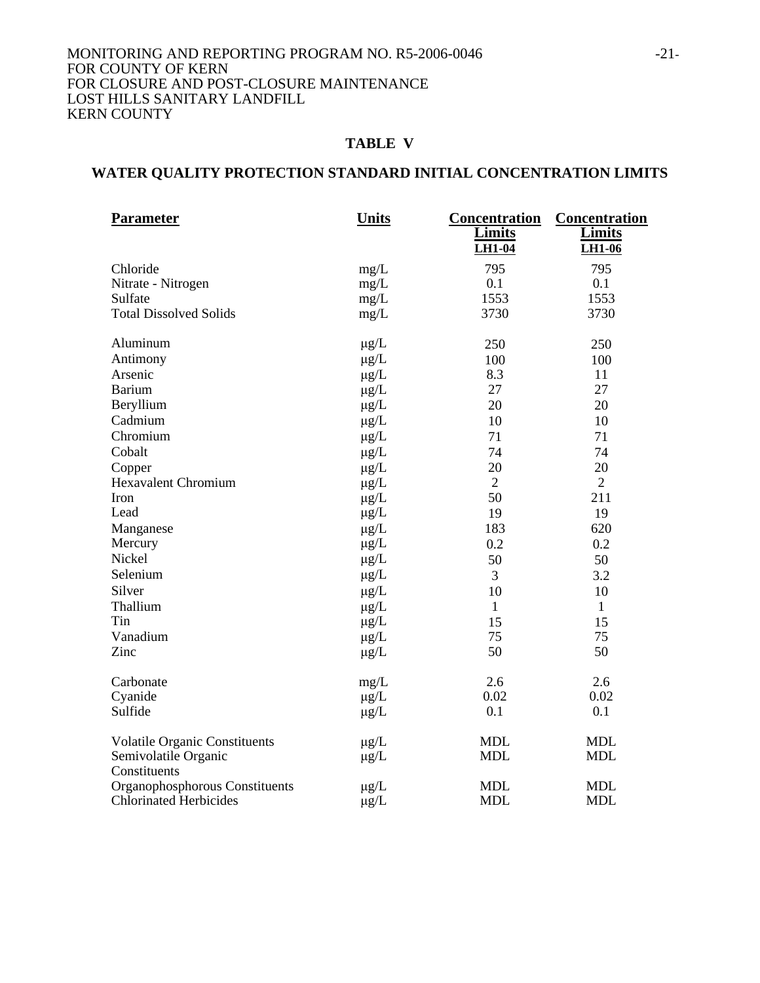#### MONITORING AND REPORTING PROGRAM NO. R5-2006-0046 -21-FOR COUNTY OF KERN FOR CLOSURE AND POST-CLOSURE MAINTENANCE LOST HILLS SANITARY LANDFILL KERN COUNTY

## **TABLE V**

# **WATER QUALITY PROTECTION STANDARD INITIAL CONCENTRATION LIMITS**

| <b>Parameter</b>                     | <b>Units</b> | <b>Concentration</b><br><b>Limits</b><br><b>LH1-04</b> | <b>Concentration</b><br><b>Limits</b><br><b>LH1-06</b> |
|--------------------------------------|--------------|--------------------------------------------------------|--------------------------------------------------------|
| Chloride                             | mg/L         | 795                                                    | 795                                                    |
| Nitrate - Nitrogen                   | mg/L         | 0.1                                                    | 0.1                                                    |
| Sulfate                              | mg/L         | 1553                                                   | 1553                                                   |
| <b>Total Dissolved Solids</b>        | mg/L         | 3730                                                   | 3730                                                   |
| Aluminum                             | $\mu$ g/L    | 250                                                    | 250                                                    |
| Antimony                             | $\mu g/L$    | 100                                                    | 100                                                    |
| Arsenic                              | $\mu g/L$    | 8.3                                                    | 11                                                     |
| <b>Barium</b>                        | $\mu$ g/L    | 27                                                     | 27                                                     |
| Beryllium                            | $\mu$ g/L    | 20                                                     | 20                                                     |
| Cadmium                              | $\mu$ g/L    | 10                                                     | 10                                                     |
| Chromium                             | $\mu$ g/L    | 71                                                     | 71                                                     |
| Cobalt                               | $\mu g/L$    | 74                                                     | 74                                                     |
| Copper                               | $\mu g/L$    | 20                                                     | 20                                                     |
| <b>Hexavalent Chromium</b>           | $\mu g/L$    | $\overline{2}$                                         | $\overline{2}$                                         |
| Iron                                 | $\mu g/L$    | 50                                                     | 211                                                    |
| Lead                                 | $\mu g/L$    | 19                                                     | 19                                                     |
| Manganese                            | $\mu g/L$    | 183                                                    | 620                                                    |
| Mercury                              | $\mu g/L$    | 0.2                                                    | 0.2                                                    |
| Nickel                               | $\mu g/L$    | 50                                                     | 50                                                     |
| Selenium                             | $\mu$ g/L    | 3                                                      | 3.2                                                    |
| Silver                               | $\mu g/L$    | 10                                                     | 10                                                     |
| Thallium                             | $\mu g/L$    | $\mathbf{1}$                                           | $\mathbf{1}$                                           |
| Tin                                  | $\mu$ g/L    | 15                                                     | 15                                                     |
| Vanadium                             | $\mu g/L$    | 75                                                     | 75                                                     |
| Zinc                                 | $\mu$ g/L    | 50                                                     | 50                                                     |
| Carbonate                            | mg/L         | 2.6                                                    | 2.6                                                    |
| Cyanide                              | $\mu g/L$    | 0.02                                                   | 0.02                                                   |
| Sulfide                              | $\mu g/L$    | 0.1                                                    | 0.1                                                    |
| <b>Volatile Organic Constituents</b> | $\mu$ g/L    | <b>MDL</b>                                             | <b>MDL</b>                                             |
| Semivolatile Organic                 | $\mu g/L$    | <b>MDL</b>                                             | <b>MDL</b>                                             |
| Constituents                         |              |                                                        |                                                        |
| Organophosphorous Constituents       | $\mu$ g/L    | <b>MDL</b>                                             | <b>MDL</b>                                             |
| <b>Chlorinated Herbicides</b>        | $\mu g/L$    | <b>MDL</b>                                             | <b>MDL</b>                                             |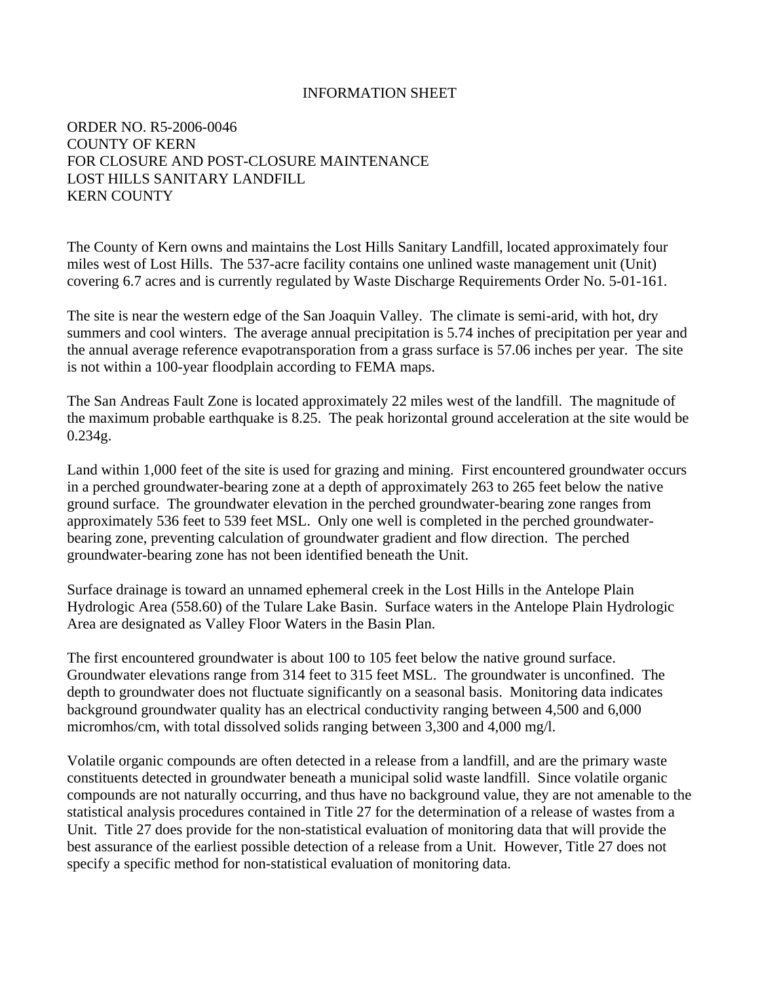## INFORMATION SHEET

ORDER NO. R5-2006-0046 COUNTY OF KERN FOR CLOSURE AND POST-CLOSURE MAINTENANCE LOST HILLS SANITARY LANDFILL KERN COUNTY

The County of Kern owns and maintains the Lost Hills Sanitary Landfill, located approximately four miles west of Lost Hills. The 537-acre facility contains one unlined waste management unit (Unit) covering 6.7 acres and is currently regulated by Waste Discharge Requirements Order No. 5-01-161.

The site is near the western edge of the San Joaquin Valley. The climate is semi-arid, with hot, dry summers and cool winters. The average annual precipitation is 5.74 inches of precipitation per year and the annual average reference evapotransporation from a grass surface is 57.06 inches per year. The site is not within a 100-year floodplain according to FEMA maps.

The San Andreas Fault Zone is located approximately 22 miles west of the landfill. The magnitude of the maximum probable earthquake is 8.25. The peak horizontal ground acceleration at the site would be 0.234g.

Land within 1,000 feet of the site is used for grazing and mining. First encountered groundwater occurs in a perched groundwater-bearing zone at a depth of approximately 263 to 265 feet below the native ground surface. The groundwater elevation in the perched groundwater-bearing zone ranges from approximately 536 feet to 539 feet MSL. Only one well is completed in the perched groundwaterbearing zone, preventing calculation of groundwater gradient and flow direction. The perched groundwater-bearing zone has not been identified beneath the Unit.

Surface drainage is toward an unnamed ephemeral creek in the Lost Hills in the Antelope Plain Hydrologic Area (558.60) of the Tulare Lake Basin. Surface waters in the Antelope Plain Hydrologic Area are designated as Valley Floor Waters in the Basin Plan.

The first encountered groundwater is about 100 to 105 feet below the native ground surface. Groundwater elevations range from 314 feet to 315 feet MSL. The groundwater is unconfined. The depth to groundwater does not fluctuate significantly on a seasonal basis. Monitoring data indicates background groundwater quality has an electrical conductivity ranging between 4,500 and 6,000 micromhos/cm, with total dissolved solids ranging between 3,300 and 4,000 mg/l.

Volatile organic compounds are often detected in a release from a landfill, and are the primary waste constituents detected in groundwater beneath a municipal solid waste landfill. Since volatile organic compounds are not naturally occurring, and thus have no background value, they are not amenable to the statistical analysis procedures contained in Title 27 for the determination of a release of wastes from a Unit. Title 27 does provide for the non-statistical evaluation of monitoring data that will provide the best assurance of the earliest possible detection of a release from a Unit. However, Title 27 does not specify a specific method for non-statistical evaluation of monitoring data.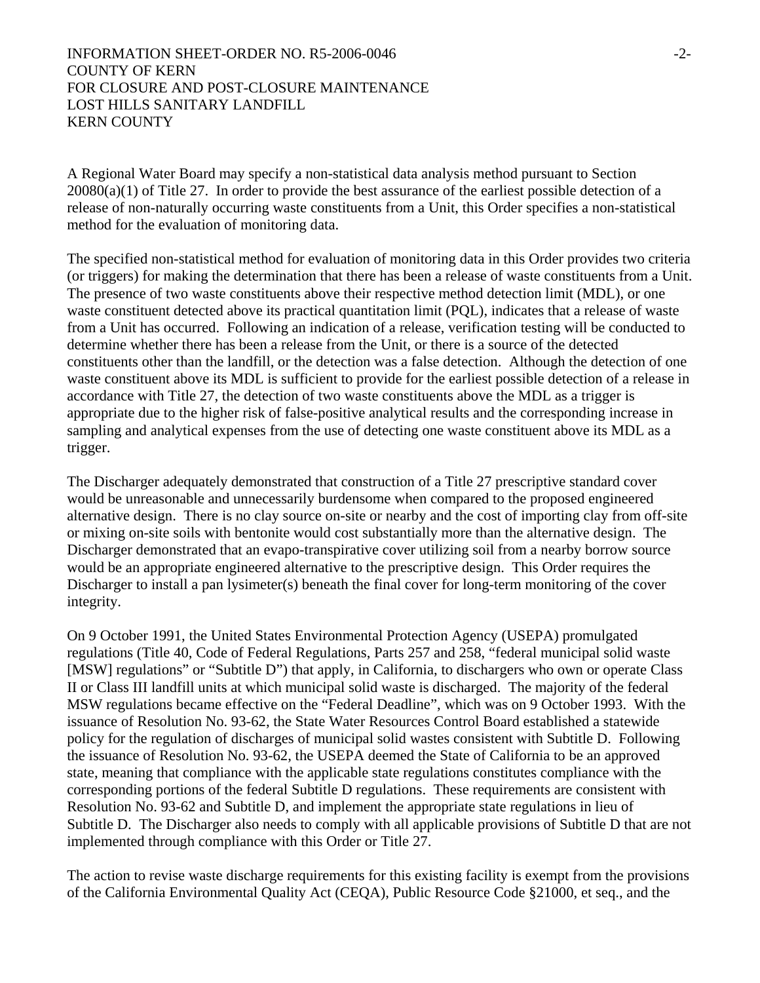## INFORMATION SHEET-ORDER NO. R5-2006-0046  $-2$ -COUNTY OF KERN FOR CLOSURE AND POST-CLOSURE MAINTENANCE LOST HILLS SANITARY LANDFILL KERN COUNTY

A Regional Water Board may specify a non-statistical data analysis method pursuant to Section 20080(a)(1) of Title 27. In order to provide the best assurance of the earliest possible detection of a release of non-naturally occurring waste constituents from a Unit, this Order specifies a non-statistical method for the evaluation of monitoring data.

The specified non-statistical method for evaluation of monitoring data in this Order provides two criteria (or triggers) for making the determination that there has been a release of waste constituents from a Unit. The presence of two waste constituents above their respective method detection limit (MDL), or one waste constituent detected above its practical quantitation limit (PQL), indicates that a release of waste from a Unit has occurred. Following an indication of a release, verification testing will be conducted to determine whether there has been a release from the Unit, or there is a source of the detected constituents other than the landfill, or the detection was a false detection. Although the detection of one waste constituent above its MDL is sufficient to provide for the earliest possible detection of a release in accordance with Title 27, the detection of two waste constituents above the MDL as a trigger is appropriate due to the higher risk of false-positive analytical results and the corresponding increase in sampling and analytical expenses from the use of detecting one waste constituent above its MDL as a trigger.

The Discharger adequately demonstrated that construction of a Title 27 prescriptive standard cover would be unreasonable and unnecessarily burdensome when compared to the proposed engineered alternative design. There is no clay source on-site or nearby and the cost of importing clay from off-site or mixing on-site soils with bentonite would cost substantially more than the alternative design. The Discharger demonstrated that an evapo-transpirative cover utilizing soil from a nearby borrow source would be an appropriate engineered alternative to the prescriptive design. This Order requires the Discharger to install a pan lysimeter(s) beneath the final cover for long-term monitoring of the cover integrity.

On 9 October 1991, the United States Environmental Protection Agency (USEPA) promulgated regulations (Title 40, Code of Federal Regulations, Parts 257 and 258, "federal municipal solid waste [MSW] regulations" or "Subtitle D") that apply, in California, to dischargers who own or operate Class II or Class III landfill units at which municipal solid waste is discharged. The majority of the federal MSW regulations became effective on the "Federal Deadline", which was on 9 October 1993. With the issuance of Resolution No. 93-62, the State Water Resources Control Board established a statewide policy for the regulation of discharges of municipal solid wastes consistent with Subtitle D. Following the issuance of Resolution No. 93-62, the USEPA deemed the State of California to be an approved state, meaning that compliance with the applicable state regulations constitutes compliance with the corresponding portions of the federal Subtitle D regulations. These requirements are consistent with Resolution No. 93-62 and Subtitle D, and implement the appropriate state regulations in lieu of Subtitle D. The Discharger also needs to comply with all applicable provisions of Subtitle D that are not implemented through compliance with this Order or Title 27.

The action to revise waste discharge requirements for this existing facility is exempt from the provisions of the California Environmental Quality Act (CEQA), Public Resource Code §21000, et seq., and the